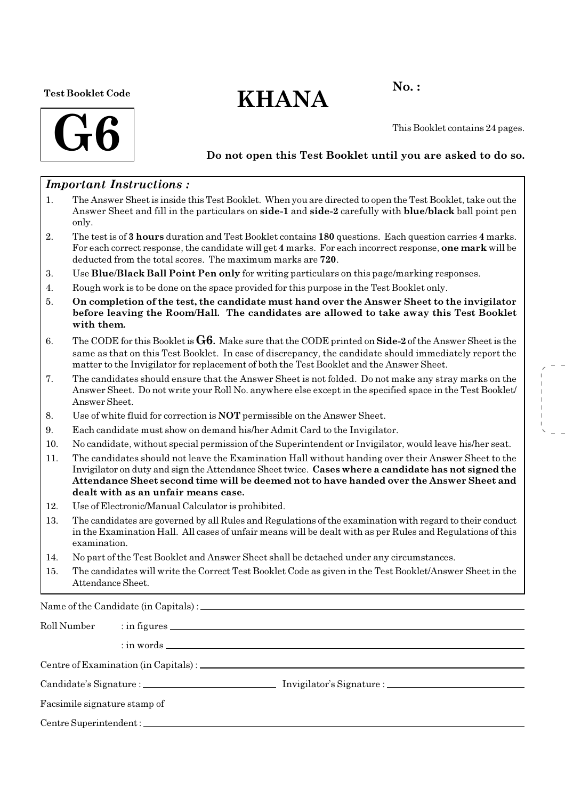#### Test Booklet Code

# $KHANA$  No.:



This Booklet contains 24 pages.

### Do not open this Test Booklet until you are asked to do so.

### Important Instructions :

- 1. The Answer Sheet is inside this Test Booklet. When you are directed to open the Test Booklet, take out the Answer Sheet and fill in the particulars on side-1 and side-2 carefully with blue/black ball point pen only.
- 2. The test is of 3 hours duration and Test Booklet contains 180 questions. Each question carries 4 marks. For each correct response, the candidate will get 4 marks. For each incorrect response, one mark will be deducted from the total scores. The maximum marks are 720.
- 3. Use Blue/Black Ball Point Pen only for writing particulars on this page/marking responses.
- 4. Rough work is to be done on the space provided for this purpose in the Test Booklet only.
- 5. On completion of the test, the candidate must hand over the Answer Sheet to the invigilator before leaving the Room/Hall. The candidates are allowed to take away this Test Booklet with them.
- 6. The CODE for this Booklet is  $G6$ . Make sure that the CODE printed on Side-2 of the Answer Sheet is the same as that on this Test Booklet. In case of discrepancy, the candidate should immediately report the matter to the Invigilator for replacement of both the Test Booklet and the Answer Sheet.
- 7. The candidates should ensure that the Answer Sheet is not folded. Do not make any stray marks on the Answer Sheet. Do not write your Roll No. anywhere else except in the specified space in the Test Booklet/ Answer Sheet.
- 8. Use of white fluid for correction is NOT permissible on the Answer Sheet.
- 9. Each candidate must show on demand his/her Admit Card to the Invigilator.
- 10. No candidate, without special permission of the Superintendent or Invigilator, would leave his/her seat.
- 11. The candidates should not leave the Examination Hall without handing over their Answer Sheet to the Invigilator on duty and sign the Attendance Sheet twice. Cases where a candidate has not signed the Attendance Sheet second time will be deemed not to have handed over the Answer Sheet and dealt with as an unfair means case.
- 12. Use of Electronic/Manual Calculator is prohibited.
- 13. The candidates are governed by all Rules and Regulations of the examination with regard to their conduct in the Examination Hall. All cases of unfair means will be dealt with as per Rules and Regulations of this examination.
- 14. No part of the Test Booklet and Answer Sheet shall be detached under any circumstances.
- 15. The candidates will write the Correct Test Booklet Code as given in the Test Booklet/Answer Sheet in the Attendance Sheet.

Name of the Candidate (in Capitals) :

| Roll Number                  |  |  |  |  |
|------------------------------|--|--|--|--|
|                              |  |  |  |  |
|                              |  |  |  |  |
|                              |  |  |  |  |
| Facsimile signature stamp of |  |  |  |  |
|                              |  |  |  |  |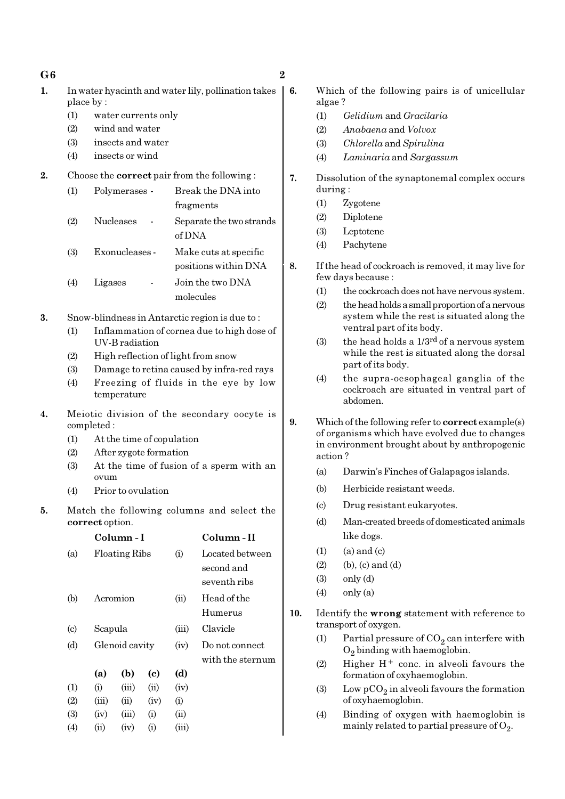| $\overline{2}$ |
|----------------|
|                |

- 1. In water hyacinth and water lily, pollination takes place by :
	- (1) water currents only
	- (2) wind and water
	- (3) insects and water
	- (4) insects or wind
- 2. Choose the correct pair from the following :

| (1) | Polymerases -    | Break the DNA into                 |
|-----|------------------|------------------------------------|
|     |                  | fragments                          |
| (2) | <b>Nucleases</b> | Separate the two strands<br>of DNA |
|     |                  |                                    |
| (3) | Exonucleases -   | Make cuts at specific              |
|     |                  | positions within DNA               |
| (4) | Ligases          | Join the two DNA                   |
|     |                  | molecules                          |

- 3. Snow-blindness in Antarctic region is due to :
	- (1) Inflammation of cornea due to high dose of UV-B radiation
	- (2) High reflection of light from snow
	- (3) Damage to retina caused by infra-red rays
	- (4) Freezing of fluids in the eye by low temperature
- 4. Meiotic division of the secondary oocyte is completed :
	- (1) At the time of copulation
	- (2) After zygote formation
	- (3) At the time of fusion of a sperm with an ovum
	- (4) Prior to ovulation
- 5. Match the following columns and select the correct option.

|                             |                | Column - I           |      |       | Column - II      |
|-----------------------------|----------------|----------------------|------|-------|------------------|
| (a)                         |                | <b>Floating Ribs</b> |      | (i)   | Located between  |
|                             |                |                      |      |       | second and       |
|                             |                |                      |      |       | seventh ribs     |
| (b)                         |                | Acromion             |      | (ii)  | Head of the      |
|                             |                |                      |      |       | Humerus          |
| $\left( \mathrm{c} \right)$ |                | Scapula              |      |       | Clavicle         |
| (d)                         | Glenoid cavity |                      |      | (iv)  | Do not connect   |
|                             |                |                      |      |       | with the sternum |
|                             | (a)            | (b)                  | (c)  | (d)   |                  |
| (1)                         | (i)            | (iii)                | (ii) | (iv)  |                  |
| (2)                         | (iii)          | (ii)                 | (iv) | (i)   |                  |
| (3)                         | (iv)           | (iii)                | (i)  | (ii)  |                  |
| (4)                         | (ii)           | (iv)                 | (i)  | (iii) |                  |
|                             |                |                      |      |       |                  |

- 6. Which of the following pairs is of unicellular algae ?
	- (1) Gelidium and Gracilaria
	- (2) Anabaena and Volvox
	- (3) Chlorella and Spirulina
	- (4) Laminaria and Sargassum
	- 7. Dissolution of the synaptonemal complex occurs during :
		- (1) Zygotene
		- (2) Diplotene
		- (3) Leptotene
		- (4) Pachytene
	- 8. If the head of cockroach is removed, it may live for few days because :
		- (1) the cockroach does not have nervous system.
		- (2) the head holds a small proportion of a nervous system while the rest is situated along the ventral part of its body.
		- (3) the head holds a  $1/3^{rd}$  of a nervous system while the rest is situated along the dorsal part of its body.
		- (4) the supra-oesophageal ganglia of the cockroach are situated in ventral part of abdomen.
	- 9. Which of the following refer to **correct** example(s) of organisms which have evolved due to changes in environment brought about by anthropogenic action ?
		- (a) Darwin's Finches of Galapagos islands.
		- (b) Herbicide resistant weeds.
		- (c) Drug resistant eukaryotes.
		- (d) Man-created breeds of domesticated animals like dogs.
		- $(1)$   $(a)$  and  $(c)$
		- $(2)$  (b),  $(c)$  and  $(d)$
		- (3) only (d)
		- $(4)$  only  $(a)$
	- 10. Identify the wrong statement with reference to transport of oxygen.
		- (1) Partial pressure of  $CO_2$  can interfere with  $O_2$  binding with haemoglobin.
		- (2) Higher  $H^+$  conc. in alveoli favours the formation of oxyhaemoglobin.
		- (3) Low  $pCO_2$  in alveoli favours the formation of oxyhaemoglobin.
		- (4) Binding of oxygen with haemoglobin is mainly related to partial pressure of  $\mathrm{O}_2$ .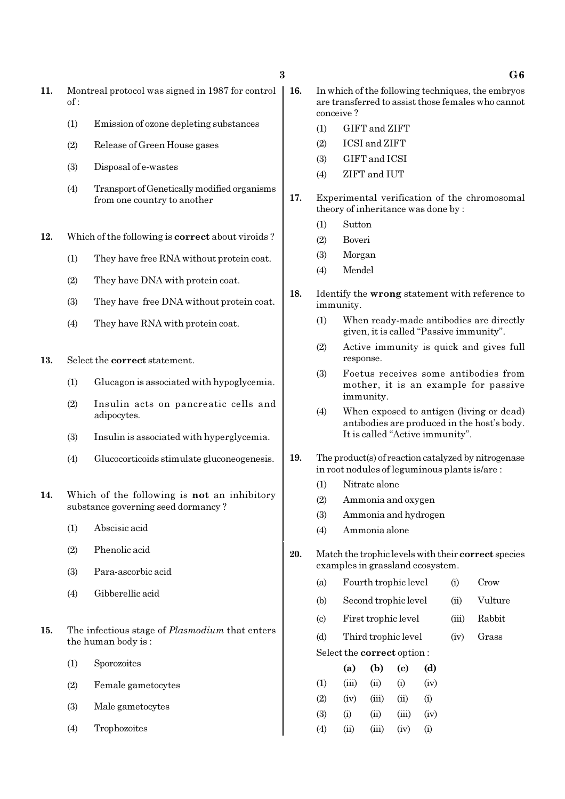- 11. Montreal protocol was signed in 1987 for control  $of$ .
	- (1) Emission of ozone depleting substances
	- (2) Release of Green House gases
	- (3) Disposal of e-wastes
	- (4) Transport of Genetically modified organisms from one country to another
- 12. Which of the following is correct about viroids ?
	- (1) They have free RNA without protein coat.
	- (2) They have DNA with protein coat.
	- (3) They have free DNA without protein coat.
	- (4) They have RNA with protein coat.
- 13. Select the correct statement.
	- (1) Glucagon is associated with hypoglycemia.
	- (2) Insulin acts on pancreatic cells and adipocytes.
	- (3) Insulin is associated with hyperglycemia.
	- (4) Glucocorticoids stimulate gluconeogenesis.
- 14. Which of the following is not an inhibitory substance governing seed dormancy ?
	- (1) Abscisic acid
	- (2) Phenolic acid
	- (3) Para-ascorbic acid
	- (4) Gibberellic acid
- 15. The infectious stage of *Plasmodium* that enters the human body is :
	- (1) Sporozoites
	- (2) Female gametocytes
	- (3) Male gametocytes
	- (4) Trophozoites
- 16. In which of the following techniques, the embryos are transferred to assist those females who cannot conceive ?
	- (1) GIFT and ZIFT
	- (2) ICSI and ZIFT
	- (3) GIFT and ICSI
	- (4) ZIFT and IUT
- 17. Experimental verification of the chromosomal theory of inheritance was done by :
	- (1) Sutton
	- (2) Boveri
	- (3) Morgan
	- (4) Mendel
- 18. Identify the wrong statement with reference to immunity.
	- (1) When ready-made antibodies are directly given, it is called "Passive immunity".
	- (2) Active immunity is quick and gives full response.
	- (3) Foetus receives some antibodies from mother, it is an example for passive immunity.
	- (4) When exposed to antigen (living or dead) antibodies are produced in the host's body. It is called "Active immunity".
- 19. The product(s) of reaction catalyzed by nitrogenase in root nodules of leguminous plants is/are :
	- (1) Nitrate alone
	- (2) Ammonia and oxygen
	- (3) Ammonia and hydrogen
	- (4) Ammonia alone
- 20. Match the trophic levels with their correct species examples in grassland ecosystem.
	- (a) Fourth trophic level (i) Crow
	- (b) Second trophic level (ii) Vulture
	- (c) First trophic level (iii) Rabbit
	- (d) Third trophic level (iv) Grass

Select the correct option :

|     | (a)      | (b)   | (c)   | (d)      |
|-----|----------|-------|-------|----------|
| (1) | (iii)    | (ii)  | (i)   | (iv)     |
| (2) | (iv)     | (iii) | (ii)  | (i)      |
| (3) | $\rm(i)$ | (ii)  | (iii) | (iv)     |
| (4) | (ii)     | (iii) | (iv)  | $\rm(i)$ |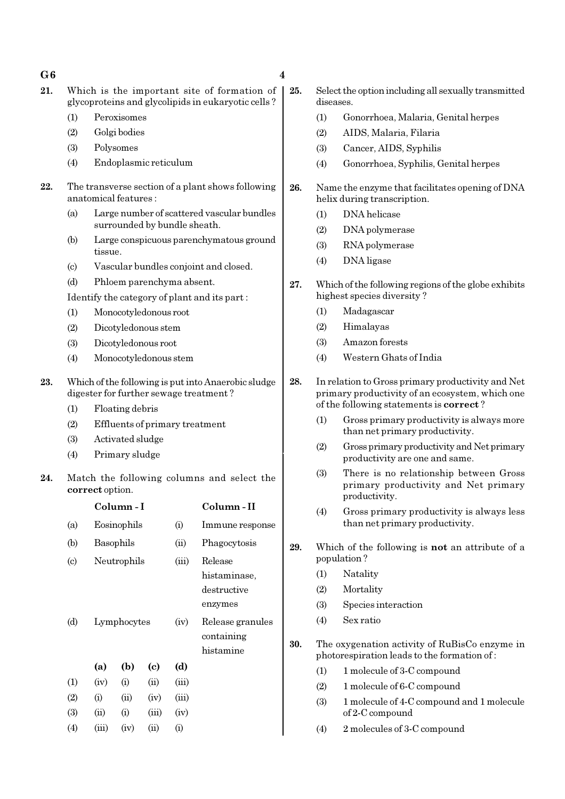#### $G6$  4

- 
- 21. Which is the important site of formation of glycoproteins and glycolipids in eukaryotic cells ?
	- (1) Peroxisomes
	- (2) Golgi bodies
	- (3) Polysomes
	- (4) Endoplasmic reticulum
- 22. The transverse section of a plant shows following anatomical features :
	- (a) Large number of scattered vascular bundles surrounded by bundle sheath.
	- (b) Large conspicuous parenchymatous ground tissue.
	- (c) Vascular bundles conjoint and closed.
	- (d) Phloem parenchyma absent.
	- Identify the category of plant and its part :
	- (1) Monocotyledonous root
	- (2) Dicotyledonous stem
	- (3) Dicotyledonous root
	- (4) Monocotyledonous stem
- 23. Which of the following is put into Anaerobic sludge digester for further sewage treatment ?
	- (1) Floating debris
	- (2) Effluents of primary treatment
	- (3) Activated sludge
	- (4) Primary sludge
- 24. Match the following columns and select the correct option.

|                             |             | Column - I  |                            | Column - II |                  |
|-----------------------------|-------------|-------------|----------------------------|-------------|------------------|
| (a)                         |             | Eosinophils |                            |             | Immune response  |
| (b)                         |             | Basophils   |                            |             | Phagocytosis     |
| $\left( \mathrm{c} \right)$ |             | Neutrophils |                            |             | Release          |
|                             |             |             |                            |             | histaminase,     |
|                             |             |             |                            |             | destructive      |
|                             |             |             |                            |             | enzymes          |
| (d)                         | Lymphocytes |             |                            | (iv)        | Release granules |
|                             |             |             |                            |             | containing       |
|                             |             |             |                            |             | histamine        |
|                             | (a)         | (b)         | $\left( \mathrm{e}\right)$ | (d)         |                  |
| $\left(1\right)$            | (iv)        | (i)         | (ii)                       | (iii)       |                  |
| (2)                         | (i)         | (ii)        | (iv)                       | (iii)       |                  |
| (3)                         | $\rm (ii)$  | (i)         | (iii)                      | (iv)        |                  |
| $\left( 4\right)$           | (iii)       | (iv)        | $\rm (ii)$                 | (i)         |                  |

- 25. Select the option including all sexually transmitted diseases.
	- (1) Gonorrhoea, Malaria, Genital herpes
	- (2) AIDS, Malaria, Filaria
	- (3) Cancer, AIDS, Syphilis
	- (4) Gonorrhoea, Syphilis, Genital herpes
- 26. Name the enzyme that facilitates opening of DNA helix during transcription.
	- (1) DNA helicase
	- (2) DNA polymerase
	- (3) RNA polymerase
	- (4) DNA ligase
- 27. Which of the following regions of the globe exhibits highest species diversity ?
	- (1) Madagascar
	- (2) Himalayas
	- (3) Amazon forests
	- (4) Western Ghats of India
- 28. In relation to Gross primary productivity and Net primary productivity of an ecosystem, which one of the following statements is correct ?
	- (1) Gross primary productivity is always more than net primary productivity.
	- (2) Gross primary productivity and Net primary productivity are one and same.
	- (3) There is no relationship between Gross primary productivity and Net primary productivity.
	- (4) Gross primary productivity is always less than net primary productivity.
- 29. Which of the following is not an attribute of a population ?
	- (1) Natality
	- (2) Mortality
	- (3) Species interaction
	- (4) Sex ratio
- 30. The oxygenation activity of RuBisCo enzyme in photorespiration leads to the formation of :
	- (1) 1 molecule of 3-C compound
	- (2) 1 molecule of 6-C compound
	- (3) 1 molecule of 4-C compound and 1 molecule of 2-C compound
	- (4) 2 molecules of 3-C compound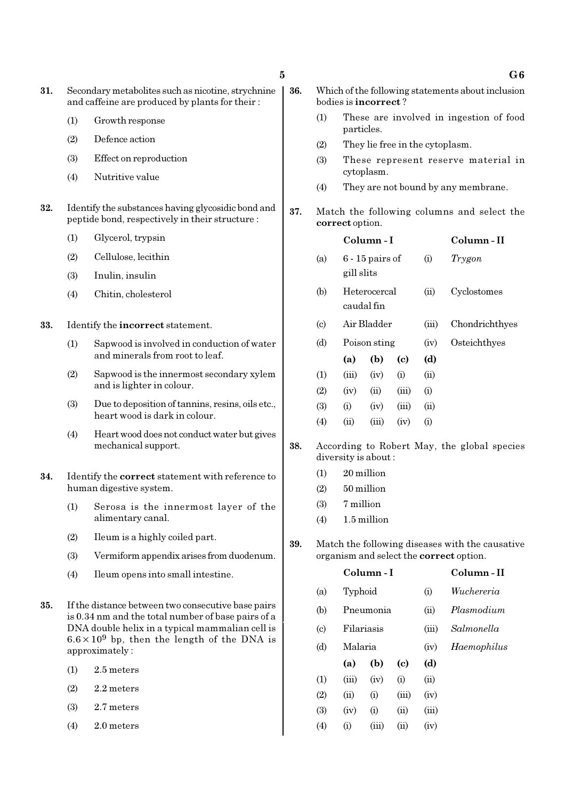- 31. Secondary metabolites such as nicotine, strychnine and caffeine are produced by plants for their :
	- (1) Growth response
	- (2) Defence action
	- (3) Effect on reproduction
	- (4) Nutritive value
- 32. Identify the substances having glycosidic bond and peptide bond, respectively in their structure :
	- (1) Glycerol, trypsin
	- (2) Cellulose, lecithin
	- (3) Inulin, insulin
	- (4) Chitin, cholesterol
- 33. Identify the incorrect statement.
	- (1) Sapwood is involved in conduction of water and minerals from root to leaf.
	- (2) Sapwood is the innermost secondary xylem and is lighter in colour.
	- (3) Due to deposition of tannins, resins, oils etc., heart wood is dark in colour.
	- (4) Heart wood does not conduct water but gives mechanical support.
- 34. Identify the correct statement with reference to human digestive system.
	- (1) Serosa is the innermost layer of the alimentary canal.
	- (2) Ileum is a highly coiled part.
	- (3) Vermiform appendix arises from duodenum.
	- (4) Ileum opens into small intestine.
- 35. If the distance between two consecutive base pairs is 0.34 nm and the total number of base pairs of a DNA double helix in a typical mammalian cell is  $6.6 \times 10^9$  bp, then the length of the DNA is approximately :
	- (1) 2.5 meters
	- $(2)$  2.2 meters
	- (3) 2.7 meters
	- (4) 2.0 meters
- 36. Which of the following statements about inclusion bodies is incorrect ?
	- (1) These are involved in ingestion of food particles.
	- (2) They lie free in the cytoplasm.
	- (3) These represent reserve material in cytoplasm.
	- (4) They are not bound by any membrane.
- 37. Match the following columns and select the correct option.

|                             |                            | Column - I        | Column - II |       |                |
|-----------------------------|----------------------------|-------------------|-------------|-------|----------------|
| (a)                         | gill slits                 | $6 - 15$ pairs of |             | (i)   | Trygon         |
| (b)                         | Heterocercal<br>caudal fin |                   |             | (ii)  | Cyclostomes    |
| $\left( \mathrm{c} \right)$ |                            | Air Bladder       |             | (iii) | Chondrichthyes |
| (d)                         | Poison sting               |                   |             | (iv)  | Osteichthyes   |
|                             | (a)                        | (b)               | (c)         | (d)   |                |
| (1)                         | (iii)                      | (iv)              | (i)         | (ii)  |                |
| (2)                         | (iv)                       | (ii)              | (iii)       | (i)   |                |
| (3)                         | (i)                        | (iv)              | (iii)       | (ii)  |                |
| $\left( 4\right)$           | (ii)                       | (iii)             | (iv)        | (i)   |                |
|                             |                            |                   |             |       |                |

- 38. According to Robert May, the global species diversity is about :
	- (1) 20 million
	- (2) 50 million
	- (3) 7 million
	- $(4)$  1.5 million
- 39. Match the following diseases with the causative organism and select the correct option.

|                             |       | Column - I | Column - II |       |             |
|-----------------------------|-------|------------|-------------|-------|-------------|
| (a)                         |       | Typhoid    |             |       | Wuchereria  |
| (b)                         |       | Pneumonia  |             |       | Plasmodium  |
| $\left( \mathrm{c} \right)$ |       | Filariasis |             |       | Salmonella  |
| (d)                         |       | Malaria    |             |       | Haemophilus |
|                             | (a)   | (b)        | (c)         | (d)   |             |
| (1)                         | (iii) | (iv)       | (i)         | (ii)  |             |
| (2)                         | (ii)  | (i)        | (iii)       | (iv)  |             |
| (3)                         | (iv)  | (i)        | (ii)        | (iii) |             |
| (4)                         | (i)   | (iii)      | (ii)        | (iv)  |             |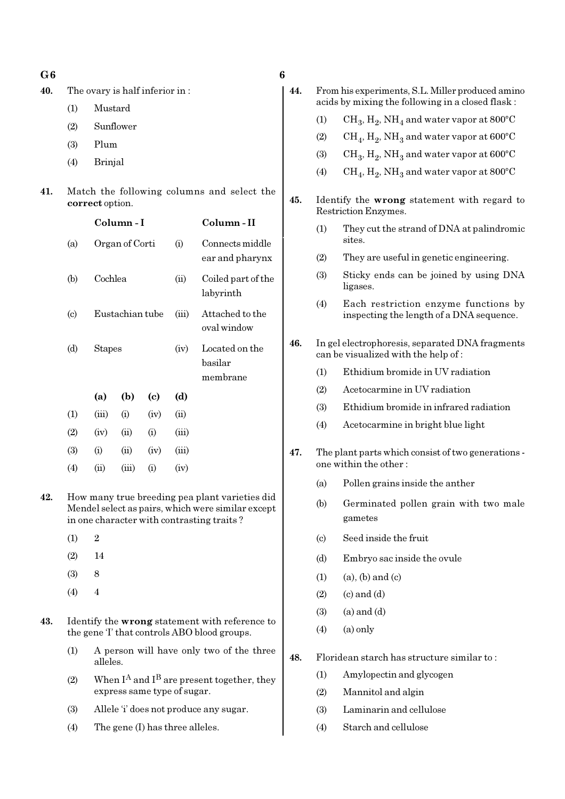40. The ovary is half inferior in :

(1) Mustard

- (2) Sunflower
- (3) Plum
- (4) Brinjal
- 41. Match the following columns and select the correct option.

|                           |               | Column - I      |                            |       | Column - II                           |
|---------------------------|---------------|-----------------|----------------------------|-------|---------------------------------------|
| (a)                       |               | Organ of Corti  |                            | (i)   | Connects middle<br>ear and pharynx    |
| (b)                       | Cochlea       |                 |                            | (ii)  | Coiled part of the<br>labyrinth       |
| $\left( \text{c} \right)$ |               | Eustachian tube |                            | (iii) | Attached to the<br>oval window        |
| (d)                       | <b>Stapes</b> |                 |                            | (iv)  | Located on the<br>basilar<br>membrane |
|                           | (a)           | (b)             | $\left( \mathrm{e}\right)$ | (d)   |                                       |
| (1)                       | (iii)         | (i)             | (iv)                       | (ii)  |                                       |
| (2)                       | (iv)          | (ii)            | (i)                        | (iii) |                                       |
| (3)                       | (i)           | (ii)            | (iv)                       | (iii) |                                       |
|                           |               |                 |                            |       |                                       |

42. How many true breeding pea plant varieties did Mendel select as pairs, which were similar except in one character with contrasting traits ?

(4) (ii) (iii) (i) (iv)

- (1) 2
- (2) 14
- (3) 8
- (4) 4
- 43. Identify the wrong statement with reference to the gene 'I' that controls ABO blood groups.
	- (1) A person will have only two of the three alleles.
	- (2) When  $\mathbf{I}^\mathbf{A}$  and  $\mathbf{I}^\mathbf{B}$  are present together, they express same type of sugar.
	- (3) Allele 'i' does not produce any sugar.
	- (4) The gene (I) has three alleles.

| ٠.<br>۰,         |  |
|------------------|--|
| I                |  |
| ٦<br>I<br>×<br>v |  |

| 44. |                            | From his experiments, S.L. Miller produced amino<br>acids by mixing the following in a closed flask: |
|-----|----------------------------|------------------------------------------------------------------------------------------------------|
|     | (1)                        | $CH_3, H_2, NH_4$ and water vapor at 800°C                                                           |
|     | (2)                        | $CH_4$ , $H_2$ , NH <sub>3</sub> and water vapor at 600°C                                            |
|     | (3)                        | $CH_3$ , $H_2$ , NH <sub>3</sub> and water vapor at 600°C                                            |
|     | (4)                        | $CH_4$ , $H_2$ , NH <sub>3</sub> and water vapor at 800°C                                            |
| 45. |                            | Identify the wrong statement with regard to<br>Restriction Enzymes.                                  |
|     | (1)                        | They cut the strand of DNA at palindromic<br>sites.                                                  |
|     | (2)                        | They are useful in genetic engineering.                                                              |
|     | (3)                        | Sticky ends can be joined by using DNA<br>ligases.                                                   |
|     | (4)                        | Each restriction enzyme functions by<br>inspecting the length of a DNA sequence.                     |
| 46. |                            | In gel electrophoresis, separated DNA fragments<br>can be visualized with the help of:               |
|     | (1)                        | Ethidium bromide in UV radiation                                                                     |
|     | (2)                        | Acetocarmine in UV radiation                                                                         |
|     | (3)                        | Ethidium bromide in infrared radiation                                                               |
|     | (4)                        | Acetocarmine in bright blue light                                                                    |
| 47. |                            | The plant parts which consist of two generations -<br>one within the other:                          |
|     | (a)                        | Pollen grains inside the anther                                                                      |
|     | (b)                        | Germinated pollen grain with two male<br>gametes                                                     |
|     | $\left( \mathrm{c}\right)$ | Seed inside the fruit                                                                                |
|     | (d)                        | Embryo sac inside the ovule                                                                          |
|     | (1)                        | $(a)$ , $(b)$ and $(c)$                                                                              |
|     | (2)                        | $(c)$ and $(d)$                                                                                      |
|     | (3)                        | $(a)$ and $(d)$                                                                                      |
|     | (4)                        | $(a)$ only                                                                                           |
| 48. |                            | Floridean starch has structure similar to:                                                           |
|     | (1)                        | Amylopectin and glycogen                                                                             |
|     | (2)                        | Mannitol and algin                                                                                   |
|     | (3)                        | Laminarin and cellulose                                                                              |
|     | (4)                        | Starch and cellulose                                                                                 |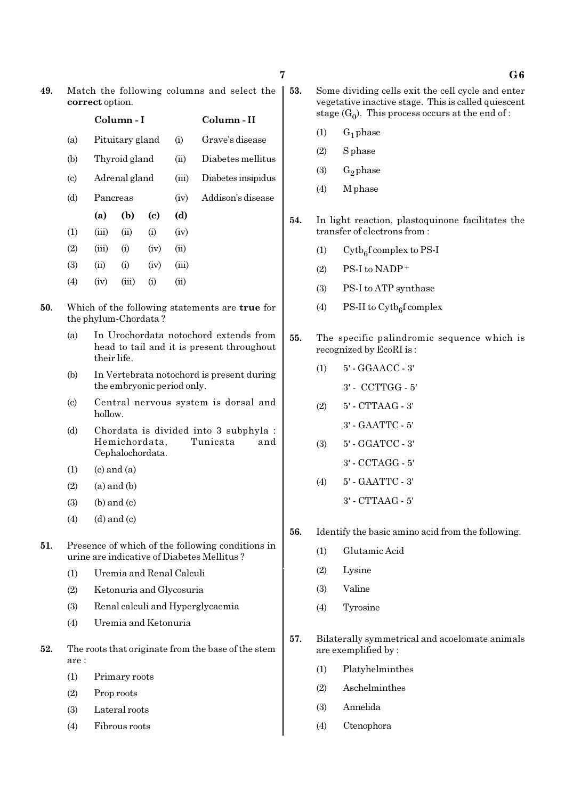| 49. | Match the following columns and select the |  |
|-----|--------------------------------------------|--|
|     | correct option.                            |  |

|                             |          | Column - I      |      | Column-II  |                    |
|-----------------------------|----------|-----------------|------|------------|--------------------|
| (a)                         |          | Pituitary gland |      | (i)        | Grave's disease    |
| (b)                         |          | Thyroid gland   |      | (ii)       | Diabetes mellitus  |
| $\left( \mathrm{c} \right)$ |          | Adrenal gland   |      | (iii)      | Diabetes insipidus |
| (d)                         | Pancreas |                 |      | (iv)       | Addison's disease  |
|                             | (a)      | (b)             | (c)  | (d)        |                    |
| (1)                         | (iii)    | (ii)            | (i)  | (iv)       |                    |
| (2)                         | (iii)    | (i)             | (iv) | (ii)       |                    |
| (3)                         | (ii)     | (i)             | (iv) | (iii)      |                    |
| (4)                         | (iv)     | (iii)           | (i)  | $\rm (ii)$ |                    |
|                             |          |                 |      |            |                    |

- 50. Which of the following statements are true for the phylum-Chordata ?
	- (a) In Urochordata notochord extends from head to tail and it is present throughout their life.
	- (b) In Vertebrata notochord is present during the embryonic period only.
	- (c) Central nervous system is dorsal and hollow.
	- (d) Chordata is divided into 3 subphyla : Hemichordata, Tunicata and Cephalochordata.
	- $(1)$   $(c)$  and  $(a)$
	- $(2)$  (a) and (b)
	- $(3)$  (b) and  $(c)$
	- $(4)$   $(d)$  and  $(c)$
- 51. Presence of which of the following conditions in urine are indicative of Diabetes Mellitus ?
	- (1) Uremia and Renal Calculi
	- (2) Ketonuria and Glycosuria
	- (3) Renal calculi and Hyperglycaemia
	- (4) Uremia and Ketonuria
- 52. The roots that originate from the base of the stem are :
	- (1) Primary roots
	- (2) Prop roots
	- (3) Lateral roots
	- (4) Fibrous roots
- 53. Some dividing cells exit the cell cycle and enter vegetative inactive stage. This is called quiescent stage  $(G_0)$ . This process occurs at the end of :
	- $(1)$  G<sub>1</sub> phase
	- (2) S phase
	- (3)  $G_2$  phase
	- (4) M phase
- 54. In light reaction, plastoquinone facilitates the transfer of electrons from :
	- (1) Cytb<sub>6</sub>f complex to PS-I
	- $(2)$  PS-I to NADP<sup>+</sup>
	- (3) PS-I to ATP synthase
	- (4) PS-II to  $\text{Cytb}_6\text{f}$  complex
- 55. The specific palindromic sequence which is recognized by EcoRI is :
	- (1) 5' GGAACC 3'
		- 3' CCTTGG 5'
	- (2) 5' CTTAAG 3'
		- 3' GAATTC 5'
	- (3) 5' GGATCC 3'
		- 3' CCTAGG 5'
	- (4) 5' GAATTC 3' 3' - CTTAAG - 5'
- 56. Identify the basic amino acid from the following.
	- (1) Glutamic Acid
	- (2) Lysine
	- (3) Valine
	- (4) Tyrosine
- 57. Bilaterally symmetrical and acoelomate animals are exemplified by :
	- (1) Platyhelminthes
	- (2) Aschelminthes
	- (3) Annelida
	- (4) Ctenophora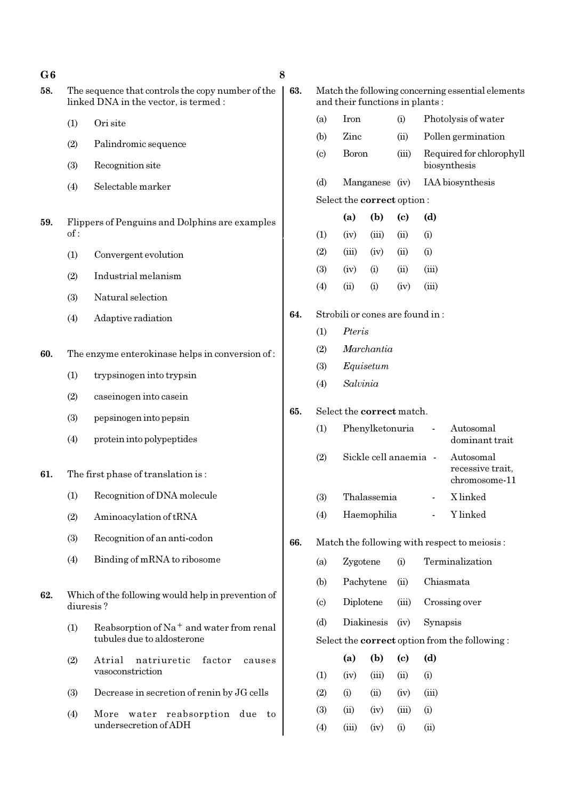| G6  |                                  |                                                                                            | 8   |                                                                                     |             |                                 |             |            |                                                      |
|-----|----------------------------------|--------------------------------------------------------------------------------------------|-----|-------------------------------------------------------------------------------------|-------------|---------------------------------|-------------|------------|------------------------------------------------------|
| 58. |                                  | The sequence that controls the copy number of the<br>linked DNA in the vector, is termed : | 63. | Match the following concerning essential elements<br>and their functions in plants: |             |                                 |             |            |                                                      |
|     | (1)                              | Ori site                                                                                   |     | (a)                                                                                 | Iron        |                                 | (i)         |            | Photolysis of water                                  |
|     | (2)                              | Palindromic sequence                                                                       |     | (b)                                                                                 | Zinc        |                                 | (ii)        |            | Pollen germination                                   |
|     | (3)                              | Recognition site                                                                           |     | (c)                                                                                 | Boron       |                                 | (iii)       |            | Required for chlorophyll<br>biosynthesis             |
|     | (4)                              | Selectable marker                                                                          |     | (d)                                                                                 |             | Manganese (iv)                  |             |            | IAA biosynthesis                                     |
|     |                                  |                                                                                            |     |                                                                                     |             | Select the correct option:      |             |            |                                                      |
| 59. | of:                              | Flippers of Penguins and Dolphins are examples                                             |     | (1)                                                                                 | (a)<br>(iv) | (b)<br>(iii)                    | (c)<br>(ii) | (d)<br>(i) |                                                      |
|     | (1)                              | Convergent evolution                                                                       |     | (2)                                                                                 | (iii)       | (iv)                            | (ii)        | (i)        |                                                      |
|     | (2)                              | Industrial melanism                                                                        |     | (3)                                                                                 | (iv)        | (i)                             | (ii)        | (iii)      |                                                      |
|     |                                  |                                                                                            |     | (4)                                                                                 | (ii)        | (i)                             | (iv)        | (iii)      |                                                      |
|     | (3)                              | Natural selection                                                                          | 64. |                                                                                     |             | Strobili or cones are found in: |             |            |                                                      |
|     | (4)                              | Adaptive radiation                                                                         |     | (1)                                                                                 | Pteris      |                                 |             |            |                                                      |
|     |                                  |                                                                                            |     | (2)                                                                                 | Marchantia  |                                 |             |            |                                                      |
| 60. |                                  | The enzyme enterokinase helps in conversion of:                                            |     | (3)                                                                                 | Equisetum   |                                 |             |            |                                                      |
|     | (1)                              | trypsinogen into trypsin                                                                   |     | (4)                                                                                 | Salvinia    |                                 |             |            |                                                      |
|     | (2)                              | caseinogen into casein                                                                     |     |                                                                                     |             |                                 |             |            |                                                      |
|     | (3)                              | pepsinogen into pepsin                                                                     | 65. |                                                                                     |             | Select the correct match.       |             |            |                                                      |
|     | (4)<br>protein into polypeptides |                                                                                            |     | (1)                                                                                 |             | Phenylketonuria                 |             |            | Autosomal<br>dominant trait                          |
| 61. |                                  | The first phase of translation is:                                                         |     | (2)                                                                                 |             | Sickle cell anaemia -           |             |            | Autosomal<br>recessive trait,<br>chromosome-11       |
|     |                                  | (1) Recognition of DNA molecule                                                            |     | (3)                                                                                 |             | Thalassemia                     |             |            | X linked                                             |
|     | (2)                              | Aminoacylation of tRNA                                                                     |     | (4)                                                                                 |             | Haemophilia                     |             |            | Y linked                                             |
|     | (3)                              | Recognition of an anti-codon                                                               | 66. |                                                                                     |             |                                 |             |            | Match the following with respect to meiosis:         |
|     | (4)                              | Binding of mRNA to ribosome                                                                |     | (a)                                                                                 | Zygotene    |                                 | (i)         |            | Terminalization                                      |
|     |                                  |                                                                                            |     | (b)                                                                                 |             | Pachytene                       | (ii)        |            | Chiasmata                                            |
| 62. | diuresis?                        | Which of the following would help in prevention of                                         |     | $\left( \circ \right)$                                                              | Diplotene   |                                 | (iii)       |            | Crossing over                                        |
|     | (1)                              | Reabsorption of Na <sup>+</sup> and water from renal                                       |     | (d)                                                                                 |             | Diakinesis                      |             | Synapsis   |                                                      |
|     |                                  | tubules due to aldosterone                                                                 |     |                                                                                     |             |                                 |             |            | Select the <b>correct</b> option from the following: |
|     | (2)                              | Atrial<br>natriuretic<br>factor<br>causes                                                  |     |                                                                                     | (a)         | (b)                             | (c)         | (d)        |                                                      |
|     |                                  | vasoconstriction                                                                           |     | (1)                                                                                 | (iv)        | (iii)                           | (ii)        | (i)        |                                                      |
|     | (3)                              | Decrease in secretion of renin by JG cells                                                 |     | (2)                                                                                 | (i)         | (ii)                            | (iv)        | (iii)      |                                                      |
|     | (4)                              | More water reabsorption due to<br>undersecretion of ADH                                    |     | (3)                                                                                 | (ii)        | (iv)                            | (iii)       | (i)        |                                                      |
|     |                                  |                                                                                            |     | (4)                                                                                 | (iii)       | (iv)                            | (i)         | (ii)       |                                                      |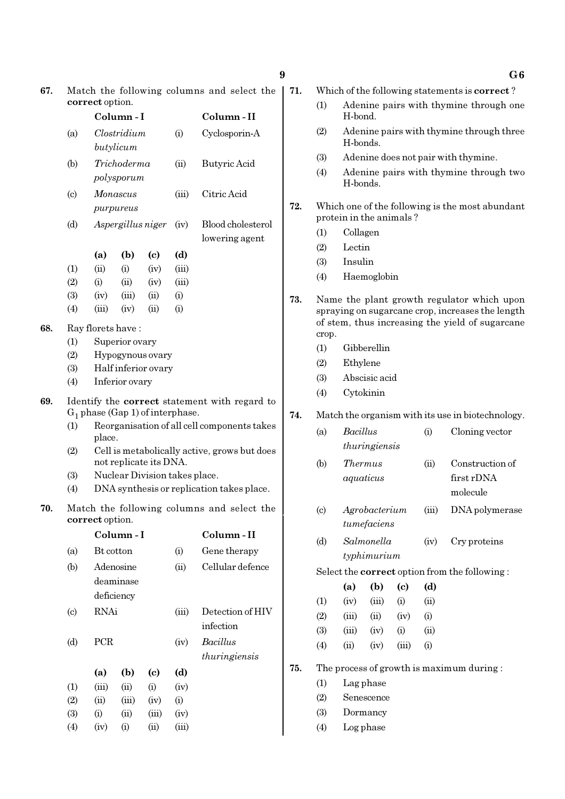|     |                                                               |                   | Column-I            |                                                                                               |       | Column-II                                                                                                                                                                                 |  |  |  |  |  |  |
|-----|---------------------------------------------------------------|-------------------|---------------------|-----------------------------------------------------------------------------------------------|-------|-------------------------------------------------------------------------------------------------------------------------------------------------------------------------------------------|--|--|--|--|--|--|
|     | (a)                                                           |                   | Clostridium         |                                                                                               | (i)   | Cyclosporin-A                                                                                                                                                                             |  |  |  |  |  |  |
|     |                                                               |                   | butylicum           |                                                                                               |       |                                                                                                                                                                                           |  |  |  |  |  |  |
|     | (b)                                                           |                   | Trichoderma         |                                                                                               | (ii)  | Butyric Acid                                                                                                                                                                              |  |  |  |  |  |  |
|     |                                                               |                   | polysporum          |                                                                                               |       |                                                                                                                                                                                           |  |  |  |  |  |  |
|     | $\left( \circ \right)$                                        |                   | <i>Monascus</i>     |                                                                                               | (iii) | Citric Acid                                                                                                                                                                               |  |  |  |  |  |  |
|     |                                                               |                   | purpureus           |                                                                                               |       |                                                                                                                                                                                           |  |  |  |  |  |  |
|     | (d)                                                           |                   |                     | Aspergillus niger                                                                             | (iv)  | Blood cholesterol                                                                                                                                                                         |  |  |  |  |  |  |
|     |                                                               |                   |                     |                                                                                               |       | lowering agent                                                                                                                                                                            |  |  |  |  |  |  |
|     |                                                               | (a)               | (b)                 | (c)                                                                                           | (d)   |                                                                                                                                                                                           |  |  |  |  |  |  |
|     | (1)                                                           | (ii)              | (i)                 | (iv)                                                                                          | (iii) |                                                                                                                                                                                           |  |  |  |  |  |  |
|     | (2)                                                           | (i)               | (ii)                | (iv)                                                                                          | (iii) |                                                                                                                                                                                           |  |  |  |  |  |  |
|     | (3)                                                           | (iv)              | (iii)               | (ii)                                                                                          | (i)   |                                                                                                                                                                                           |  |  |  |  |  |  |
|     | (4)                                                           | (iii)             | (iv)                | (ii)                                                                                          | (i)   |                                                                                                                                                                                           |  |  |  |  |  |  |
| 68. |                                                               | Ray florets have: |                     |                                                                                               |       |                                                                                                                                                                                           |  |  |  |  |  |  |
|     | (1)                                                           |                   | Superior ovary      |                                                                                               |       |                                                                                                                                                                                           |  |  |  |  |  |  |
|     | (2)                                                           |                   | Hypogynous ovary    |                                                                                               |       |                                                                                                                                                                                           |  |  |  |  |  |  |
|     | (3)                                                           |                   | Half inferior ovary |                                                                                               |       |                                                                                                                                                                                           |  |  |  |  |  |  |
|     | (4)                                                           |                   | Inferior ovary      |                                                                                               |       |                                                                                                                                                                                           |  |  |  |  |  |  |
| 69. | (1)<br>(2)<br>(3)<br>(4)                                      | place.            |                     | $G_1$ phase (Gap 1) of interphase.<br>not replicate its DNA.<br>Nuclear Division takes place. |       | Identify the correct statement with regard to<br>Reorganisation of all cell components takes<br>Cell is metabolically active, grows but does<br>DNA synthesis or replication takes place. |  |  |  |  |  |  |
| 70. | Match the following columns and select the<br>correct option. |                   |                     |                                                                                               |       |                                                                                                                                                                                           |  |  |  |  |  |  |
|     |                                                               |                   | Column - 1          |                                                                                               |       | Column-II                                                                                                                                                                                 |  |  |  |  |  |  |
|     | (a)                                                           | Bt cotton         |                     |                                                                                               | (i)   | Gene therapy                                                                                                                                                                              |  |  |  |  |  |  |
|     | (b)                                                           |                   | Adenosine           |                                                                                               | (ii)  | Cellular defence                                                                                                                                                                          |  |  |  |  |  |  |
|     |                                                               |                   | deaminase           |                                                                                               |       |                                                                                                                                                                                           |  |  |  |  |  |  |
|     |                                                               |                   | deficiency          |                                                                                               |       |                                                                                                                                                                                           |  |  |  |  |  |  |
|     | $\left( \mathrm{c} \right)$                                   | RNAi              |                     |                                                                                               | (iii) | Detection of HIV                                                                                                                                                                          |  |  |  |  |  |  |
|     |                                                               |                   |                     |                                                                                               |       | infection                                                                                                                                                                                 |  |  |  |  |  |  |
|     | (d)                                                           | PCR               |                     |                                                                                               | (iv)  | <b>Bacillus</b>                                                                                                                                                                           |  |  |  |  |  |  |
|     |                                                               |                   |                     |                                                                                               |       | thuringiensis                                                                                                                                                                             |  |  |  |  |  |  |
|     |                                                               | (a)               | (b)                 | (c)                                                                                           | (d)   |                                                                                                                                                                                           |  |  |  |  |  |  |
|     | (1)                                                           | (iii)             | (ii)                | (i)                                                                                           | (iv)  |                                                                                                                                                                                           |  |  |  |  |  |  |
|     | (2)                                                           | (ii)              | (iii)               | (iv)                                                                                          | (i)   |                                                                                                                                                                                           |  |  |  |  |  |  |
|     | (3)                                                           | (i)               | (ii)                | (iii)                                                                                         | (iv)  |                                                                                                                                                                                           |  |  |  |  |  |  |
|     |                                                               |                   |                     |                                                                                               |       |                                                                                                                                                                                           |  |  |  |  |  |  |

 $(4)$   $(iv)$   $(i)$   $(ii)$   $(iii)$ 

correct option.

71. Which of the following statements is correct ?

- (1) Adenine pairs with thymine through one H-bond.
- (2) Adenine pairs with thymine through three H-bonds.
- (3) Adenine does not pair with thymine.
- (4) Adenine pairs with thymine through two H-bonds.
- 72. Which one of the following is the most abundant protein in the animals ?
	- (1) Collagen
	- (2) Lectin
	- (3) Insulin
	- (4) Haemoglobin
- 73. Name the plant growth regulator which upon spraying on sugarcane crop, increases the length of stem, thus increasing the yield of sugarcane crop.
	- (1) Gibberellin
	- (2) Ethylene
	- (3) Abscisic acid
	-

### 74. Match the organism with its use in biotechnology.

- (a) Bacillus (i) Cloning vector thuringiensis
- (b) Thermus (ii) Construction of aquaticus first rDNA molecule
- (c) Agrobacterium (iii) DNA polymerase tumefaciens
- (d) Salmonella (iv) Cry proteins typhimurium

Select the correct option from the following :

|            | (a)   | (b)    | (c)   | (d)      |
|------------|-------|--------|-------|----------|
| (1)        | (iv)  | (iii)  | (i)   | (ii)     |
| (2)        | (iii) | $\sin$ | (iv)  | (i)      |
| <b>(3)</b> | (iii) | (iv)   | (i)   | (ii)     |
| (4)        | (ii)  | (iv)   | (iii) | $\rm(i)$ |

75. The process of growth is maximum during :

- (1) Lag phase
- (2) Senescence
- (3) Dormancy
- (4) Log phase

9 G6

- 
- (4) Cytokinin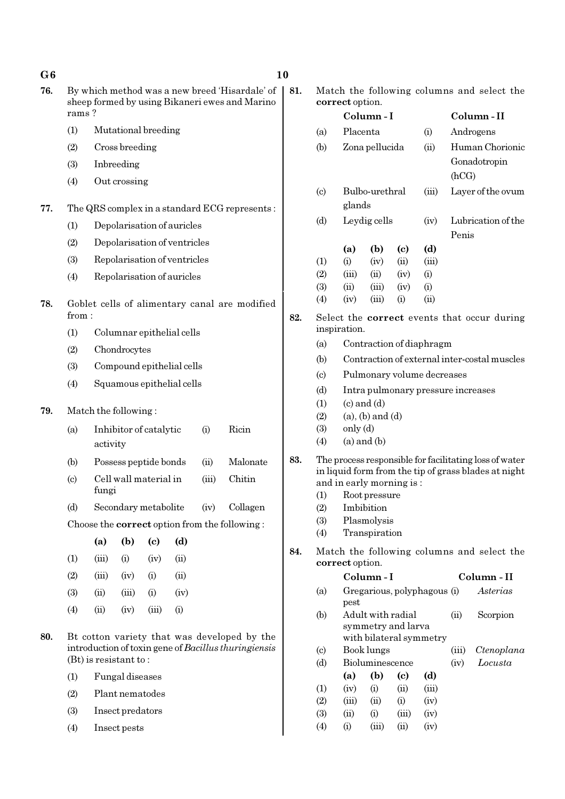| G6  |                                                                                                           |                                                                                                     |                         |                              |      |      |                                               | 10  |                                                          |                 |                                                             |      |       |               |                                                        |
|-----|-----------------------------------------------------------------------------------------------------------|-----------------------------------------------------------------------------------------------------|-------------------------|------------------------------|------|------|-----------------------------------------------|-----|----------------------------------------------------------|-----------------|-------------------------------------------------------------|------|-------|---------------|--------------------------------------------------------|
| 76. | By which method was a new breed 'Hisardale' of<br>sheep formed by using Bikaneri ewes and Marino<br>rams? |                                                                                                     |                         |                              |      |      |                                               |     |                                                          | correct option. |                                                             |      |       |               | Match the following columns and select the             |
|     | (1)                                                                                                       |                                                                                                     |                         | Mutational breeding          |      |      |                                               |     |                                                          |                 | Column-I                                                    |      |       |               | Column-II                                              |
|     |                                                                                                           |                                                                                                     |                         |                              |      |      |                                               |     | (a)                                                      | Placenta        |                                                             |      | (i)   |               | Androgens                                              |
|     | (2)                                                                                                       |                                                                                                     | Cross breeding          |                              |      |      |                                               |     | (b)                                                      |                 | Zona pellucida                                              |      | (ii)  |               | Human Chorionic<br>Gonadotropin                        |
|     | (3)                                                                                                       |                                                                                                     | Inbreeding              |                              |      |      |                                               |     |                                                          |                 |                                                             |      |       | (hCG)         |                                                        |
|     | (4)                                                                                                       |                                                                                                     | Out crossing            |                              |      |      |                                               |     | $\left( \text{c} \right)$                                |                 | Bulbo-urethral                                              |      | (iii) |               | Layer of the ovum                                      |
| 77. |                                                                                                           |                                                                                                     |                         |                              |      |      | The QRS complex in a standard ECG represents: |     |                                                          | glands          |                                                             |      |       |               |                                                        |
|     | (1)                                                                                                       |                                                                                                     |                         | Depolarisation of auricles   |      |      |                                               |     | (d)                                                      |                 | Leydig cells                                                |      | (iv)  |               | Lubrication of the                                     |
|     | (2)                                                                                                       |                                                                                                     |                         | Depolarisation of ventricles |      |      |                                               |     |                                                          | (a)             | (b)                                                         | (c)  | (d)   | Penis         |                                                        |
|     | (3)                                                                                                       |                                                                                                     |                         | Repolarisation of ventricles |      |      |                                               |     | (1)                                                      | (i)             | (iv)                                                        | (ii) | (iii) |               |                                                        |
|     | (4)                                                                                                       |                                                                                                     |                         | Repolarisation of auricles   |      |      |                                               |     | (2)                                                      | (iii)           | (ii)                                                        | (iv) | (i)   |               |                                                        |
|     |                                                                                                           |                                                                                                     |                         |                              |      |      |                                               |     | (3)                                                      | (ii)            | (iii)                                                       | (iv) | (i)   |               |                                                        |
| 78. |                                                                                                           |                                                                                                     |                         |                              |      |      | Goblet cells of alimentary canal are modified | 82. | (4)                                                      | (iv)            | (iii)                                                       | (i)  | (ii)  |               |                                                        |
|     | (1)                                                                                                       | from:<br>Columnar epithelial cells                                                                  |                         |                              |      |      |                                               |     |                                                          | inspiration.    |                                                             |      |       |               | Select the <b>correct</b> events that occur during     |
|     | (2)                                                                                                       | Chondrocytes                                                                                        |                         |                              |      |      |                                               |     | (a)                                                      |                 | Contraction of diaphragm                                    |      |       |               |                                                        |
|     | (3)                                                                                                       | Compound epithelial cells                                                                           |                         |                              |      |      |                                               |     | (b)                                                      |                 |                                                             |      |       |               | Contraction of external inter-costal muscles           |
|     | (4)                                                                                                       | Squamous epithelial cells                                                                           |                         |                              |      |      |                                               |     | Pulmonary volume decreases<br>$\left( \mathrm{c}\right)$ |                 |                                                             |      |       |               |                                                        |
|     |                                                                                                           |                                                                                                     |                         |                              |      |      |                                               |     | (d)                                                      |                 | Intra pulmonary pressure increases                          |      |       |               |                                                        |
| 79. |                                                                                                           |                                                                                                     | Match the following:    |                              |      |      |                                               |     | (1)<br>(2)                                               |                 | $(c)$ and $(d)$<br>$(a)$ , $(b)$ and $(d)$                  |      |       |               |                                                        |
|     | (a)                                                                                                       | activity                                                                                            |                         | Inhibitor of catalytic       |      | (i)  | Ricin                                         |     | (3)<br>(4)                                               | only (d)        | $(a)$ and $(b)$                                             |      |       |               |                                                        |
|     | (b)                                                                                                       | Malonate<br>Possess peptide bonds<br>(ii)                                                           |                         |                              |      |      |                                               |     |                                                          |                 |                                                             |      |       |               | The process responsible for facilitating loss of water |
|     | $\left( \mathrm{c}\right)$                                                                                | Cell wall material in<br>Chitin<br>(iii)<br>fungi                                                   |                         |                              |      |      |                                               |     |                                                          |                 | and in early morning is:                                    |      |       |               | in liquid form from the tip of grass blades at night   |
|     | (d)                                                                                                       |                                                                                                     |                         |                              |      | (iv) | Collagen                                      |     | (2)                                                      |                 | (1) Root pressure<br>Imbibition                             |      |       |               |                                                        |
|     |                                                                                                           | Secondary metabolite<br>Choose the <b>correct</b> option from the following:                        |                         |                              |      |      |                                               |     | (3)                                                      |                 | Plasmolysis                                                 |      |       |               |                                                        |
|     |                                                                                                           | (a)                                                                                                 | (b)                     | $\left( \mathrm{e}\right)$   | (d)  |      |                                               |     | (4)                                                      |                 | Transpiration                                               |      |       |               |                                                        |
|     | (1)                                                                                                       | (iii)                                                                                               | (i)                     | (iv)                         | (ii) |      |                                               | 84. |                                                          | correct option. |                                                             |      |       |               | Match the following columns and select the             |
|     | (2)                                                                                                       | (iii)                                                                                               | (iv)                    | (i)                          | (ii) |      |                                               |     |                                                          |                 | Column-I                                                    |      |       |               | Column - II                                            |
|     | (3)                                                                                                       | (ii)                                                                                                | (iii)                   | (i)                          | (iv) |      |                                               |     | (a)                                                      |                 | Gregarious, polyphagous (i)                                 |      |       |               | Asterias                                               |
|     | (4)                                                                                                       | (ii)                                                                                                | (iv)                    | (iii)                        | (i)  |      |                                               |     | (b)                                                      | pest            | Adult with radial                                           |      |       | (ii)          | Scorpion                                               |
| 80. |                                                                                                           | Bt cotton variety that was developed by the<br>introduction of toxin gene of Bacillus thuringiensis |                         |                              |      |      |                                               |     |                                                          |                 | symmetry and larva<br>with bilateral symmetry<br>Book lungs |      |       |               | Ctenoplana                                             |
|     |                                                                                                           |                                                                                                     | $(Bt)$ is resistant to: |                              |      |      |                                               |     | $\left( \circ \right)$<br>(d)                            |                 | Bioluminescence                                             |      |       | (iii)<br>(iv) | Locusta                                                |
|     | (1)                                                                                                       |                                                                                                     | Fungal diseases         |                              |      |      |                                               |     |                                                          | (a)             | (b)                                                         | (c)  | (d)   |               |                                                        |
|     | (2)                                                                                                       |                                                                                                     | Plant nematodes         |                              |      |      |                                               |     | (1)                                                      | (iv)            | (i)                                                         | (ii) | (iii) |               |                                                        |

(2) (iii) (ii) (i) (iv) (3) (iii) (i) (iii) (iv) (3) (ii) (i) (iii) <br>(4) (i) (iii) (ii)

(i) (iii) (iv)

- (3) Insect predators
- (4) Insect pests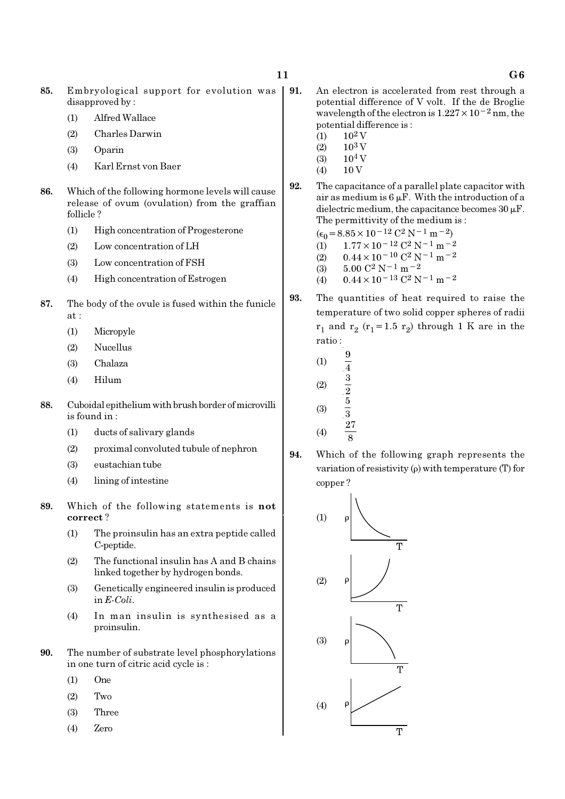- 85. Embryological support for evolution was disapproved by :
	- (1) Alfred Wallace
	- (2) Charles Darwin
	- (3) Oparin
	- (4) Karl Ernst von Baer
- 86. Which of the following hormone levels will cause release of ovum (ovulation) from the graffian follicle ?
	- (1) High concentration of Progesterone
	- (2) Low concentration of LH
	- (3) Low concentration of FSH
	- (4) High concentration of Estrogen
- 87. The body of the ovule is fused within the funicle at :
	- (1) Micropyle
	- (2) Nucellus
	- (3) Chalaza
	- (4) Hilum
- 88. Cuboidal epithelium with brush border of microvilli is found in :
	- (1) ducts of salivary glands
	- (2) proximal convoluted tubule of nephron
	- (3) eustachian tube
	- (4) lining of intestine
- 89. Which of the following statements is not correct ?
	- (1) The proinsulin has an extra peptide called C-peptide.
	- (2) The functional insulin has A and B chains linked together by hydrogen bonds.
	- (3) Genetically engineered insulin is produced in E-Coli.
	- (4) In man insulin is synthesised as a proinsulin.
- 90. The number of substrate level phosphorylations in one turn of citric acid cycle is :
	- (1) One
	- (2) Two
	- (3) Three
	- (4) Zero
- 91. An electron is accelerated from rest through a potential difference of V volt. If the de Broglie wavelength of the electron is  $1.227 \times 10^{-2}$  nm, the potential difference is :
	- $(1)$  10<sup>2</sup> V
	- $(2)$  10<sup>3</sup> V
	- $(3)$  10<sup>4</sup> V
	- $(4)$  10 V
- 92. The capacitance of a parallel plate capacitor with air as medium is  $6 \mu$ F. With the introduction of a dielectric medium, the capacitance becomes  $30 \mu$ F. The permittivity of the medium is :
	- $(\epsilon_0 = 8.85 \times 10^{-12} \text{ C}^2 \text{ N}^{-1} \text{ m}^{-2})$  $(1)$  1.77 × 10<sup>-12</sup> C<sup>2</sup> N<sup>-1</sup> m<sup>-2</sup>
	- (2)  $0.44 \times 10^{-10} \text{ C}^2 \text{ N}^{-1} \text{ m}^{-2}$ <br>(3)  $5.00 \text{ C}^2 \text{ N}^{-1} \text{ m}^{-2}$  $5.00 \text{ C}^2 \text{ N}^{-1} \text{ m}^{-2}$
	- (4)  $0.44 \times 10^{-13}$  C<sup>2</sup> N<sup>-1</sup> m<sup>-2</sup>
- 93. The quantities of heat required to raise the temperature of two solid copper spheres of radii  $\mathbf{r}_1$  and  $\mathbf{r}_2$  ( $\mathbf{r}_1$ =1.5  $\mathbf{r}_2$ ) through 1 K are in the ratio :
	- (1)  $\frac{9}{9}$ 4 (2)  $\frac{3}{2}$ (3) 5 3 (4) 27 8
- 94. Which of the following graph represents the variation of resistivity (ρ) with temperature (T) for copper ?

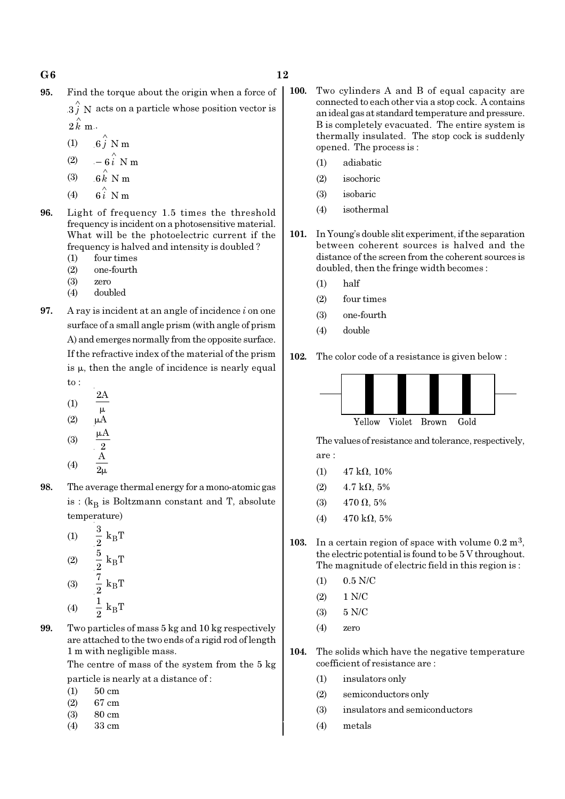- 95. Find the torque about the origin when a force of
	- $3 \hat{j}$  N acts on a particle whose position vector is  $2 \hat{k}$  m.
	- (1)  $6\hat{j}$  N m
	- (2)  $-6\hat{i}$  N m
	- (3)  $6 \stackrel{\wedge}{k}$  N m
	- (4)  $6i \stackrel{\wedge}{\smash{\wedge}} N m$
- 96. Light of frequency 1.5 times the threshold frequency is incident on a photosensitive material. What will be the photoelectric current if the frequency is halved and intensity is doubled ?
	- (1) four times
	- (2) one-fourth
	- (3) zero
	- (4) doubled
- **97.** A ray is incident at an angle of incidence  $i$  on one surface of a small angle prism (with angle of prism A) and emerges normally from the opposite surface. If the refractive index of the material of the prism is  $\mu$ , then the angle of incidence is nearly equal to :
	- 2A
	- (1)  $\mu$
	- $(2)$
	- (3) A 2 µ (4) A  $2\mu$
- 98. The average thermal energy for a mono-atomic gas is : ( $k_B$  is Boltzmann constant and T, absolute temperature)
	- (1)  $\frac{3}{8}$  k<sub>B</sub>  $\frac{3}{2}$  k<sub>B</sub>T  $(2)$   $\frac{3}{8}$  k<sub>B</sub>  $\frac{5}{2}$  k<sub>B</sub>T (3)  $\frac{1}{9}$  k<sub>B</sub>  $rac{7}{2}$  k<sub>B</sub>T  $\frac{1}{2} k_B T$
	- (4)  $\frac{1}{9}$  k<sub>B</sub>
- 99. Two particles of mass 5 kg and 10 kg respectively are attached to the two ends of a rigid rod of length 1 m with negligible mass.

The centre of mass of the system from the 5 kg particle is nearly at a distance of :

- (1) 50 cm
- (2) 67 cm
- (3) 80 cm
- (4) 33 cm
- 100. Two cylinders A and B of equal capacity are connected to each other via a stop cock. A contains an ideal gas at standard temperature and pressure. B is completely evacuated. The entire system is thermally insulated. The stop cock is suddenly opened. The process is :
	- (1) adiabatic
	- (2) isochoric
	- (3) isobaric
	- (4) isothermal
- 101. In Young's double slit experiment, if the separation between coherent sources is halved and the distance of the screen from the coherent sources is doubled, then the fringe width becomes :
	- (1) half
	- (2) four times
	- (3) one-fourth
	- (4) double

102. The color code of a resistance is given below :



The values of resistance and tolerance, respectively, are :

- (1)  $47 \text{ k}\Omega$ , 10%
- (2)  $4.7 \text{ k}\Omega$ , 5%
- (3) 470 Ω, 5%
- (4)  $470 \text{ k}\Omega, 5\%$
- 103. In a certain region of space with volume  $0.2 \text{ m}^3$ , the electric potential is found to be 5 V throughout. The magnitude of electric field in this region is :
	- (1) 0.5 N/C
	- (2) 1 N/C
	- (3) 5 N/C
	- (4) zero
- 104. The solids which have the negative temperature coefficient of resistance are :
	- (1) insulators only
	- (2) semiconductors only
	- (3) insulators and semiconductors
	- (4) metals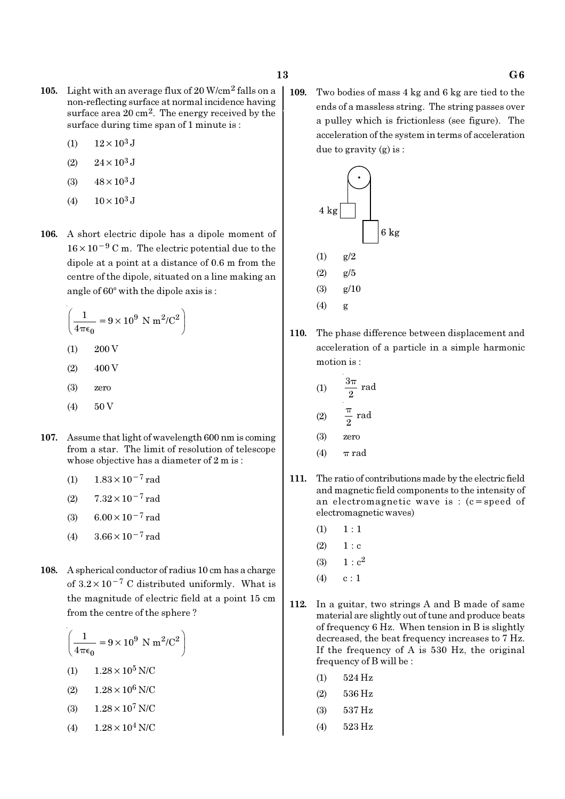- 105. Light with an average flux of 20 W/cm2 falls on a non-reflecting surface at normal incidence having surface area 20 cm<sup>2</sup>. The energy received by the surface during time span of 1 minute is :
	- (1)  $12 \times 10^3$  J
	- $(2)$  24 × 10<sup>3</sup> J
	- (3)  $48 \times 10^3$  J
	- (4)  $10 \times 10^3$  J
- 106. A short electric dipole has a dipole moment of 16×10−<sup>9</sup> C m. The electric potential due to the dipole at a point at a distance of 0.6 m from the centre of the dipole, situated on a line making an angle of  $60^\circ$  with the dipole axis is :

$$
\left(\frac{1}{4\pi\epsilon_0} = 9 \times 10^9 \text{ N m}^2/\text{C}^2\right)
$$

- $(1)$  200 V
- $(2)$  400 V
- (3) zero
- $(4) 50V$
- 107. Assume that light of wavelength 600 nm is coming from a star. The limit of resolution of telescope whose objective has a diameter of 2 m is :
	- (1)  $1.83 \times 10^{-7}$  rad
	- (2)  $7.32 \times 10^{-7}$  rad
	- (3) 6.00 $\times$ 10<sup>-7</sup> rad
	- (4)  $3.66 \times 10^{-7}$  rad
- 108. A spherical conductor of radius 10 cm has a charge of  $3.2 \times 10^{-7}$  C distributed uniformly. What is the magnitude of electric field at a point 15 cm from the centre of the sphere ?

$$
\left(\frac{1}{4\pi\epsilon_0} = 9 \times 10^9 \text{ N m}^2/\text{C}^2\right)
$$
  
(1) 1.28 × 10<sup>5</sup> N/C  
(2) 1.28 × 10<sup>6</sup> N/C  
(3) 1.28 × 10<sup>7</sup> N/C  
(4) 1.28 × 10<sup>4</sup> N/C

109. Two bodies of mass 4 kg and 6 kg are tied to the ends of a massless string. The string passes over a pulley which is frictionless (see figure). The acceleration of the system in terms of acceleration due to gravity (g) is :



110. The phase difference between displacement and acceleration of a particle in a simple harmonic motion is :

(1) 
$$
\frac{3\pi}{2} \text{ rad}
$$
  
(2) 
$$
\frac{\pi}{2} \text{ rad}
$$

- (3) zero
- (4)  $\pi$  rad
- 111. The ratio of contributions made by the electric field and magnetic field components to the intensity of an electromagnetic wave is : (c=speed of electromagnetic waves)
	- $(1) \quad 1 : 1$
	- $(2) 1 : c$
	- (3)  $1 : c^2$
	- $(4)$  c : 1
- 112. In a guitar, two strings A and B made of same material are slightly out of tune and produce beats of frequency 6 Hz. When tension in B is slightly decreased, the beat frequency increases to 7 Hz. If the frequency of A is 530 Hz, the original frequency of B will be :
	- (1) 524 Hz
	- (2) 536 Hz
	- (3) 537 Hz
	- (4) 523 Hz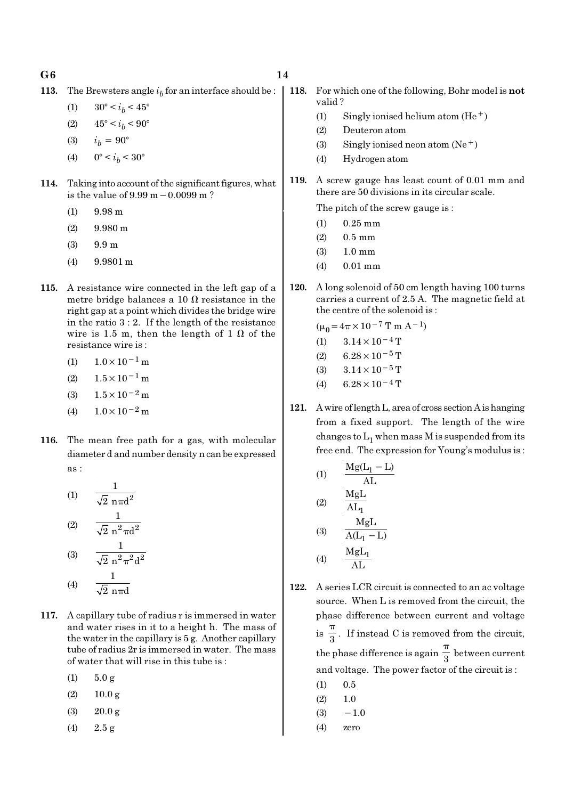$G6$  and  $14$ 

**113.** The Brewsters angle  $i<sub>b</sub>$  for an interface should be :

(1)  $30^{\circ} < i_b < 45^{\circ}$ 

(2)  $45^{\circ} < i_b < 90^{\circ}$ 

- (3)  $i_h = 90^\circ$
- (4)  $0^{\circ} < i_b < 30^{\circ}$
- 114. Taking into account of the significant figures, what is the value of 9.99 m−0.0099 m ?
	- (1) 9.98 m
	- $(2)$  9.980 m
	- (3) 9.9 m
	- (4) 9.9801 m
- 115. A resistance wire connected in the left gap of a metre bridge balances a 10  $\Omega$  resistance in the right gap at a point which divides the bridge wire in the ratio 3 : 2. If the length of the resistance wire is 1.5 m, then the length of 1  $\Omega$  of the resistance wire is :
	- $(1)$  1.0×10<sup>-1</sup> m
	- $(2)$  1.5 × 10<sup>-1</sup> m
	- (3)  $1.5 \times 10^{-2}$  m
	- (4)  $1.0 \times 10^{-2}$  m
- 116. The mean free path for a gas, with molecular diameter d and number density n can be expressed as :

(1) 
$$
\frac{1}{\sqrt{2} \text{ n} \pi d^2}
$$
  
(2) 
$$
\frac{1}{\sqrt{2} \text{ n}^2 \pi d^2}
$$
  
(3) 
$$
\frac{1}{\sqrt{2} \text{ n}^2 \pi^2 d^2}
$$
  
(4) 
$$
\frac{1}{\sqrt{2} \text{ n} \pi d}
$$

- 117. A capillary tube of radius r is immersed in water and water rises in it to a height h. The mass of the water in the capillary is 5 g. Another capillary tube of radius 2r is immersed in water. The mass of water that will rise in this tube is :
	- $(1)$  5.0 g
	- $(2)$  10.0 g
	- (3) 20.0 g
	- (4) 2.5 g

- 118. For which one of the following, Bohr model is not valid ?
	- (1) Singly ionised helium atom  $(He<sup>+</sup>)$
	- (2) Deuteron atom
	- (3) Singly ionised neon atom  $(Ne^+)$
	- (4) Hydrogen atom
- 119. A screw gauge has least count of 0.01 mm and there are 50 divisions in its circular scale.

The pitch of the screw gauge is :

- (1) 0.25 mm
- $(2)$  0.5 mm
- (3) 1.0 mm
- (4) 0.01 mm
- 120. A long solenoid of 50 cm length having 100 turns carries a current of 2.5 A. The magnetic field at the centre of the solenoid is :

$$
(\mu_0 = 4\pi \times 10^{-7} \text{ T m A}^{-1})
$$

$$
(1) \qquad 3.14 \times 10^{-4} \,\mathrm{T}
$$

- (2)  $6.28 \times 10^{-5}$  T
- (3)  $3.14 \times 10^{-5}$  T
- (4) 6.28  $\times$  10<sup>-4</sup> T
- 121. A wire of length L, area of cross section A is hanging from a fixed support. The length of the wire changes to  $\mathrm{L}_1$  when mass M is suspended from its free end. The expression for Young's modulus is :

(1)  
\n
$$
\frac{Mg(L_1 - L)}{AL}
$$
\n(2)  
\n
$$
\frac{MgL}{AL_1}
$$
\n(3)  
\n
$$
\frac{MgL}{A(L_1 - L)}
$$
\n(4)  
\n
$$
\frac{MgL_1}{AL}
$$

- 122. A series LCR circuit is connected to an ac voltage source. When L is removed from the circuit, the phase difference between current and voltage  $is \frac{1}{3}$ π . If instead C is removed from the circuit, the phase difference is again  $\frac{1}{3}$ π between current and voltage. The power factor of the circuit is :
	- $(1)$  0.5
	- $(2) \qquad 1.0$
	- $(3) -1.0$
	- (4) zero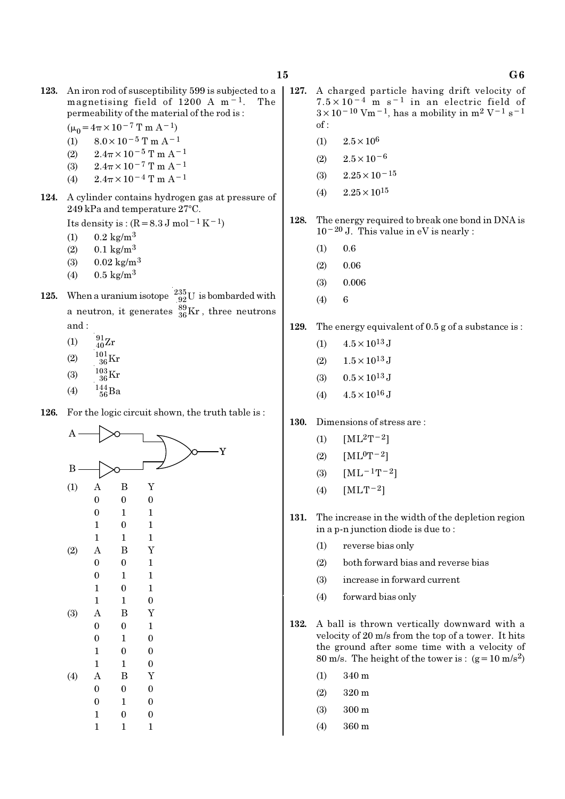- 123. An iron rod of susceptibility 599 is subjected to a magnetising field of 1200 A m−1. The permeability of the material of the rod is :
	- $(\mu_0=4\pi\times10^{-7}$  T m A<sup>-1</sup>)
	- (1)  $8.0 \times 10^{-5}$  T m A<sup>-1</sup>
	- (2)  $2.4\pi \times 10^{-5}$  T m A<sup>-1</sup>
	- (3)  $2.4\pi \times 10^{-7}$  T m A<sup>-1</sup> (4)  $2.4\pi \times 10^{-4}$  T m A<sup>-1</sup>
	-
- 124. A cylinder contains hydrogen gas at pressure of  $249$  kPa and temperature  $27^{\circ}$ C.

Its density is :  $(R=8.3 \text{ J mol}^{-1}\text{ K}^{-1})$ 

- (1)  $0.2 \text{ kg/m}^3$
- (2)  $0.1 \text{ kg/m}^3$
- (3)  $0.02 \text{ kg/m}^3$
- (4)  $0.5 \text{ kg/m}^3$
- 125. When a uranium isotope  $\frac{235}{92}U$  is bombarded with a neutron, it generates  $^{89}_{36}\text{Kr}$  , three neutrons and :
	- (1)  $\frac{91}{40}Zr$
	- (2)  $\frac{101}{36} \text{Kr}$
	- (3)  $\frac{103}{36}$ Kr
	- (4)  $\frac{144}{56}Ba$
	-
- 126. For the logic circuit shown, the truth table is:



- 127. A charged particle having drift velocity of  $7.5 \times 10^{-4}$  m s<sup>-1</sup> in an electric field of  $3 \times 10^{-10}$  Vm<sup>-1</sup>, has a mobility in m<sup>2</sup> V<sup>-1</sup> s<sup>-1</sup>  $of:$ 
	- (1)  $2.5 \times 10^6$
	- $(2)$  2.5×10<sup>-6</sup>
	- (3)  $2.25 \times 10^{-15}$
	- $(4)$  2.25  $\times$  10<sup>15</sup>
- 128. The energy required to break one bond in DNA is 10−20 J. This value in eV is nearly :
	- $(1)$  0.6
	- $(2)$  0.06
	- (3) 0.006
	- $(4) 6$
- 129. The energy equivalent of 0.5 g of a substance is :
	- (1)  $4.5 \times 10^{13}$  J
	- (2)  $1.5 \times 10^{13}$  J
	- (3)  $0.5 \times 10^{13}$  J
	- (4)  $4.5 \times 10^{16}$  J
- 130. Dimensions of stress are :
	- (1)  $[ML^2T^{-2}]$
	- $(2)$  [ML<sup>0</sup>T<sup>-2</sup>]
	- (3)  $[ML^{-1}T^{-2}]$
	- (4)  $[MLT^{-2}]$
- 131. The increase in the width of the depletion region in a p-n junction diode is due to :
	- (1) reverse bias only
	- (2) both forward bias and reverse bias
	- (3) increase in forward current
	- (4) forward bias only
- 132. A ball is thrown vertically downward with a velocity of 20 m/s from the top of a tower. It hits the ground after some time with a velocity of 80 m/s. The height of the tower is :  $(g=10 \text{ m/s}^2)$ 
	- (1) 340 m
	- (2) 320 m
	- (3) 300 m
	- (4) 360 m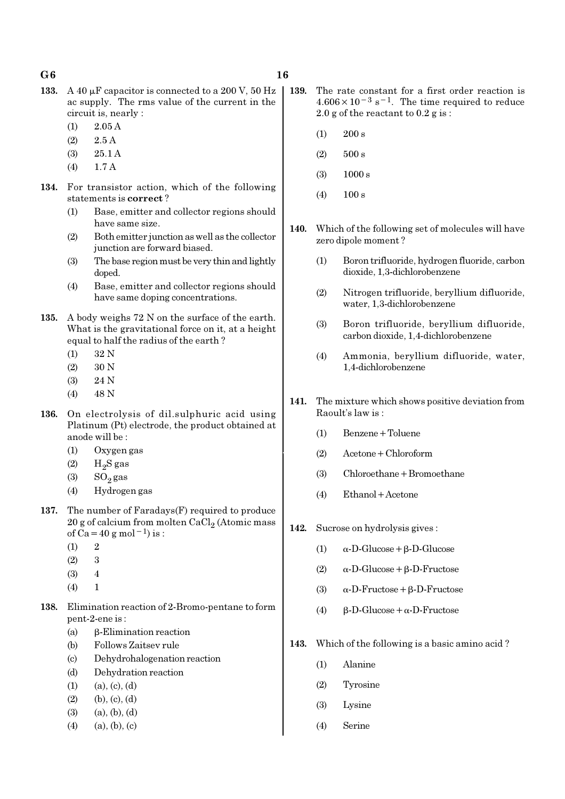- $G6$  16
- 133. A 40  $\mu$ F capacitor is connected to a 200 V, 50 Hz ac supply. The rms value of the current in the circuit is, nearly :
	- $(1)$  2.05 A
	- (2) 2.5 A
	- (3) 25.1 A
	- (4) 1.7 A
- 134. For transistor action, which of the following statements is correct ?
	- (1) Base, emitter and collector regions should have same size.
	- (2) Both emitter junction as well as the collector junction are forward biased.
	- (3) The base region must be very thin and lightly doped.
	- (4) Base, emitter and collector regions should have same doping concentrations.
- 135. A body weighs 72 N on the surface of the earth. What is the gravitational force on it, at a height equal to half the radius of the earth ?
	- (1) 32 N
	- (2) 30 N
	- (3) 24 N
	- $(4)$  48 N
- 136. On electrolysis of dil.sulphuric acid using Platinum (Pt) electrode, the product obtained at anode will be :
	- (1) Oxygen gas
	- $(2)$  H<sub>2</sub>S gas
	- $(3)$  SO<sub>2</sub> gas
	- (4) Hydrogen gas
- 137. The number of Faradays(F) required to produce  $20$  g of calcium from molten CaCl $_2$  (Atomic mass of Ca=40 g mol<sup>-1</sup>) is :
	- $(1)$  2
	- (2) 3
	- (3) 4
	- $(4)$  1
- 138. Elimination reaction of 2-Bromo-pentane to form pent-2-ene is :
	- (a) β-Elimination reaction
	- (b) Follows Zaitsev rule
	- (c) Dehydrohalogenation reaction
	- (d) Dehydration reaction
	- $(1)$   $(a), (c), (d)$
	- $(2)$  (b),  $(c)$ ,  $(d)$
	- $(3)$   $(a), (b), (d)$
	- $(4)$   $(a), (b), (c)$
- 139. The rate constant for a first order reaction is  $4.606 \times 10^{-3}$  s<sup>-1</sup>. The time required to reduce 2.0 g of the reactant to 0.2 g is :
	- $(1)$  200 s
	- $(2)$  500 s
	- (3) 1000 s
	- $(4)$  100 s
- 140. Which of the following set of molecules will have zero dipole moment ?
	- (1) Boron trifluoride, hydrogen fluoride, carbon dioxide, 1,3-dichlorobenzene
	- (2) Nitrogen trifluoride, beryllium difluoride, water, 1,3-dichlorobenzene
	- (3) Boron trifluoride, beryllium difluoride, carbon dioxide, 1,4-dichlorobenzene
	- (4) Ammonia, beryllium difluoride, water, 1,4-dichlorobenzene
- 141. The mixture which shows positive deviation from Raoult's law is :
	- (1) Benzene+Toluene
	- (2) Acetone+Chloroform
	- (3) Chloroethane+Bromoethane
	- (4) Ethanol+Acetone
- 142. Sucrose on hydrolysis gives :
	- (1)  $\alpha$ -D-Glucose + β-D-Glucose
	- (2) α-D-Glucose+β-D-Fructose
	- (3) α-D-Fructose+β-D-Fructose
	- (4)  $β-D-Glucose + α-D-Fructose$
- 143. Which of the following is a basic amino acid ?
	- (1) Alanine
	- (2) Tyrosine
	- (3) Lysine
	- (4) Serine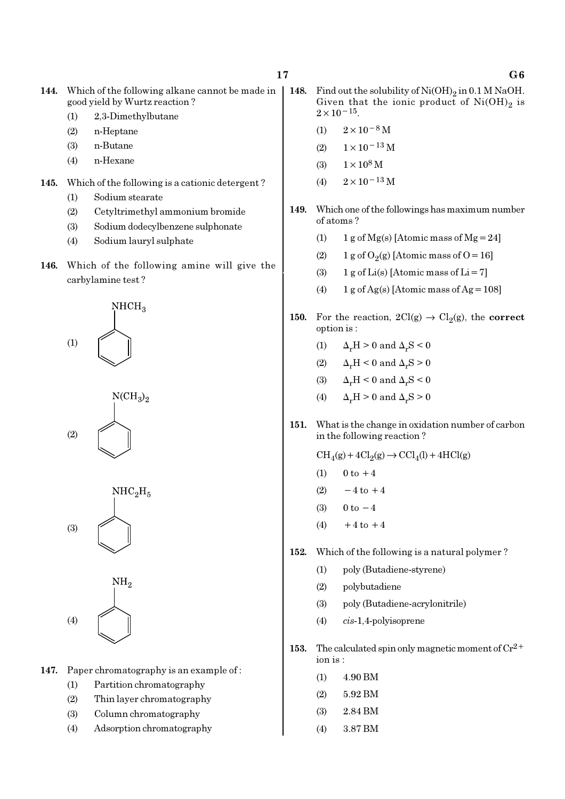| 144. | Which of the following alkane cannot be made in |
|------|-------------------------------------------------|
|      | good yield by Wurtz reaction?                   |

- (1) 2,3-Dimethylbutane
- (2) n-Heptane
- (3) n-Butane
- (4) n-Hexane
- 145. Which of the following is a cationic detergent ?
	- (1) Sodium stearate
	- (2) Cetyltrimethyl ammonium bromide
	- (3) Sodium dodecylbenzene sulphonate
	- (4) Sodium lauryl sulphate
- 146. Which of the following amine will give the carbylamine test ?









147. Paper chromatography is an example of :

- (1) Partition chromatography
- (2) Thin layer chromatography
- (3) Column chromatography
- (4) Adsorption chromatography
- 148. Find out the solubility of  $Ni(OH)_2$  in 0.1 M NaOH. Given that the ionic product of  $\mathrm{Ni(OH)}_{2}$  is  $2 \times 10^{-15}$ .
	- $(1)$  2×10<sup>-8</sup> M
	- (2)  $1 \times 10^{-13}$  M
	- (3)  $1 \times 10^8$  M
	- (4)  $2 \times 10^{-13}$  M
- 149. Which one of the followings has maximum number of atoms ?
	- (1) 1 g of Mg(s) [Atomic mass of Mg = 24]
	- (2) 1 g of  $O_2(g)$  [Atomic mass of O = 16]
	- (3) 1 g of  $Li(s)$  [Atomic mass of  $Li = 7$ ]
	- (4) 1 g of Ag(s) [Atomic mass of Ag =  $108$ ]
- 150. For the reaction,  $2Cl(g) \rightarrow Cl_2(g)$ , the correct option is :
	- (1)  $\Delta_r H > 0$  and  $\Delta_r S < 0$
	- (2)  $\Delta_r H \leq 0$  and  $\Delta_r S \geq 0$
	- (3)  $\Delta_r H < 0$  and  $\Delta_r S < 0$
	- (4)  $\Delta_r H > 0$  and  $\Delta_r S > 0$
- 151. What is the change in oxidation number of carbon in the following reaction ?

 $\text{CH}_4(g) + 4\text{Cl}_2(g) \rightarrow \text{CCl}_4(l) + 4\text{HCl}(g)$ 

- (1)  $0 \text{ to } +4$
- $(2) -4$  to  $+4$
- (3)  $0 \text{ to } -4$
- (4)  $+4$  to  $+4$
- 152. Which of the following is a natural polymer ?
	- (1) poly (Butadiene-styrene)
	- (2) polybutadiene
	- (3) poly (Butadiene-acrylonitrile)
	- (4) cis-1,4-polyisoprene
- 153. The calculated spin only magnetic moment of  $Cr^{2+}$ ion is :
	- (1) 4.90 BM
	- (2) 5.92 BM
	- (3) 2.84 BM
	- (4) 3.87 BM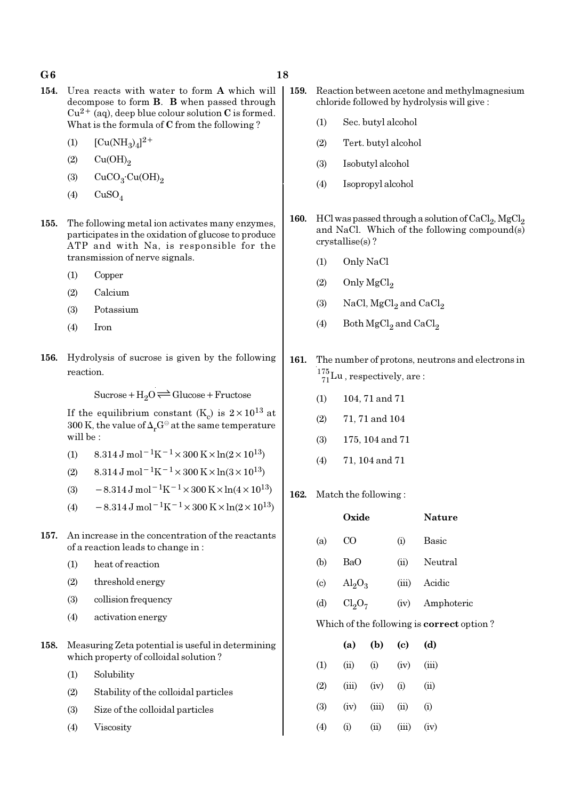#### $G6$  and  $18$

- 154. Urea reacts with water to form A which will decompose to form B. B when passed through  $Cu^{2+}$  (aq), deep blue colour solution C is formed. What is the formula of C from the following ?
	- (1)  $[Cu(NH_3)_4]^{2+}$
	- $(2)$   $Cu(OH)<sub>2</sub>$
	- (3)  $CuCO<sub>3</sub>·Cu(OH)<sub>2</sub>$
	- $(4)$  CuSO<sub>4</sub>
- 155. The following metal ion activates many enzymes, participates in the oxidation of glucose to produce ATP and with Na, is responsible for the transmission of nerve signals.
	- (1) Copper
	- (2) Calcium
	- (3) Potassium
	- (4) Iron
- 156. Hydrolysis of sucrose is given by the following reaction.

 $Sucrose+H_2O \rightleftharpoons Glucose+Fructose$ 

If the equilibrium constant (K<sub>c</sub>) is  $2 \times 10^{13}$  at 300 K, the value of  $\Delta_r G^\ominus$  at the same temperature will be :

- (1) 8.314 J mol<sup>-1</sup>K<sup>-1</sup> × 300 K × ln(2 × 10<sup>13</sup>)
- (2) 8.314 J mol<sup>-1</sup>K<sup>-1</sup> × 300 K × ln(3 × 10<sup>13</sup>)
- (3)  $-8.314 \,\mathrm{J} \,\mathrm{mol}^{-1} \mathrm{K}^{-1} \times 300 \,\mathrm{K} \times \ln(4 \times 10^{13})$
- (4)  $-8.314 \text{ J mol}^{-1}\text{K}^{-1} \times 300 \text{ K} \times \ln(2 \times 10^{13})$
- 157. An increase in the concentration of the reactants of a reaction leads to change in :
	- (1) heat of reaction
	- (2) threshold energy
	- (3) collision frequency
	- (4) activation energy
- 158. Measuring Zeta potential is useful in determining which property of colloidal solution ?
	- (1) Solubility
	- (2) Stability of the colloidal particles
	- (3) Size of the colloidal particles
	- (4) Viscosity
- 159. Reaction between acetone and methylmagnesium chloride followed by hydrolysis will give :
	- (1) Sec. butyl alcohol
	- (2) Tert. butyl alcohol
	- (3) Isobutyl alcohol
	- (4) Isopropyl alcohol
- 160. HCl was passed through a solution of  $\mathrm{CaCl}_2$ ,  $\mathrm{MgCl}_2$ and NaCl. Which of the following compound(s) crystallise(s) ?
	-
	- (2) Only  $MgCl<sub>2</sub>$
	- (3) NaCl,  $MgCl<sub>2</sub>$  and  $CaCl<sub>2</sub>$
- 161. The number of protons, neutrons and electrons in  $^{175}_{71}$ Lu, respectively, are:
	- (1) 104, 71 and 71
	- (2) 71, 71 and 104
	- (3) 175, 104 and 71
	- (4) 71, 104 and 71
- 162. Match the following :

|                                                  | Oxide                   |           |       | Nature             |  |  |  |  |  |
|--------------------------------------------------|-------------------------|-----------|-------|--------------------|--|--|--|--|--|
| (a)                                              | C <sub>O</sub>          |           | (i)   | Basic              |  |  |  |  |  |
| (b)                                              | BaO                     |           | (ii)  | Neutral            |  |  |  |  |  |
| $\left( \mathrm{c} \right)$                      | $\text{Al}_2\text{O}_3$ |           | (iii) | Acidic             |  |  |  |  |  |
| (d)                                              |                         | $Cl_2O_7$ |       | Amphoteric<br>(iv) |  |  |  |  |  |
| Which of the following is <b>correct</b> option? |                         |           |       |                    |  |  |  |  |  |
|                                                  | (a)                     | (b)       | (c)   | (d)                |  |  |  |  |  |
| (1)                                              | (ii)                    | (i)       | (iv)  | (iii)              |  |  |  |  |  |
|                                                  |                         |           |       |                    |  |  |  |  |  |

 $(2)$   $(iii)$   $(iv)$   $(i)$   $(ii)$ 

 $(3)$   $(iv)$   $(iii)$   $(ii)$   $(i)$ 

(4) (i) (ii) (iii) (iv)

- (1) Only NaCl
- 
- 
- (4) Both  $\mathrm{MgCl}_2$  and  $\mathrm{CaCl}_2$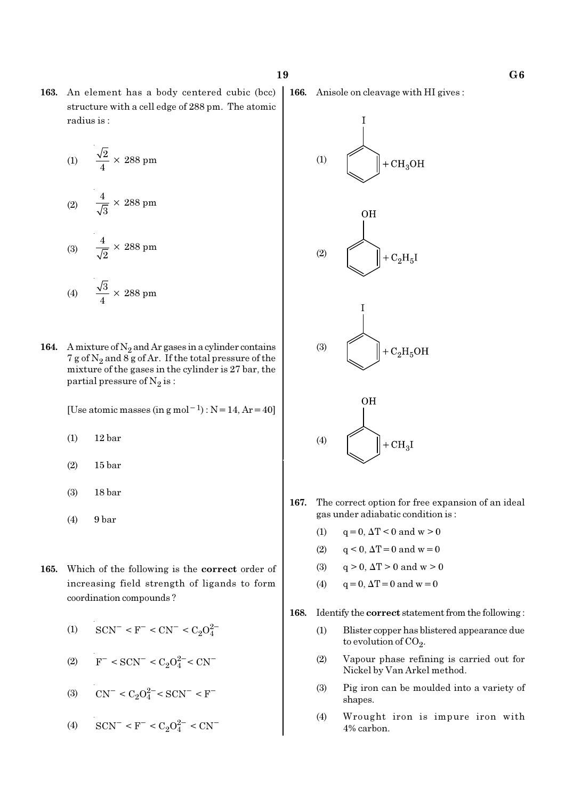163. An element has a body centered cubic (bcc) structure with a cell edge of 288 pm. The atomic radius is :

$$
(1) \qquad \frac{\sqrt{2}}{4} \times 288 \text{ pm}
$$

$$
(2) \qquad \frac{4}{\sqrt{3}} \times 288 \text{ pm}
$$

$$
(3) \qquad \frac{4}{\sqrt{2}} \times 288 \text{ pm}
$$

$$
(4) \qquad \frac{\sqrt{3}}{4} \times 288 \text{ pm}
$$

164. A mixture of  $N_2$  and Ar gases in a cylinder contains 7 g of  $\mathrm{N}_2$  and 8 g of Ar. If the total pressure of the mixture of the gases in the cylinder is 27 bar, the partial pressure of  $\mathrm{N}_2 \, \mathrm{is}$  :

[Use atomic masses (in g mol<sup>-1</sup>) : N = 14, Ar = 40]

- (1) 12 bar
- (2) 15 bar

(3) 18 bar

- (4) 9 bar
- 165. Which of the following is the correct order of increasing field strength of ligands to form coordination compounds ?
	- (1)  $\text{SCN}^-$  < F<sup>-</sup> < CN<sup>-</sup> < C<sub>2</sub>O<sub>4</sub><sup>2</sup>
	- (2)  $F^-$  < SCN<sup>-</sup> < C<sub>2</sub>O<sup>2</sup><sup>-</sup> < CN<sup>-</sup>
	- (3)  $CN^- < C_2O_4^{2-} < SCN^- < F^-$
	- (4)  $\text{SCN}^-$  < F<sup>-</sup> < C<sub>2</sub>O<sub>4</sub><sup>2</sup><sup>-</sup> < CN<sup>-</sup>

166. Anisole on cleavage with HI gives :





- 167. The correct option for free expansion of an ideal gas under adiabatic condition is :
	- (1)  $q = 0, \Delta T < 0$  and  $w > 0$
	- (2)  $q < 0$ ,  $\Delta T = 0$  and  $w = 0$
	- (3)  $q > 0$ ,  $\Delta T > 0$  and  $w > 0$
	- (4)  $q = 0, \Delta T = 0$  and  $w = 0$
- 168. Identify the correct statement from the following :
	- (1) Blister copper has blistered appearance due to evolution of CO<sub>2</sub>.
	- (2) Vapour phase refining is carried out for Nickel by Van Arkel method.
	- (3) Pig iron can be moulded into a variety of shapes.
	- (4) Wrought iron is impure iron with 4% carbon.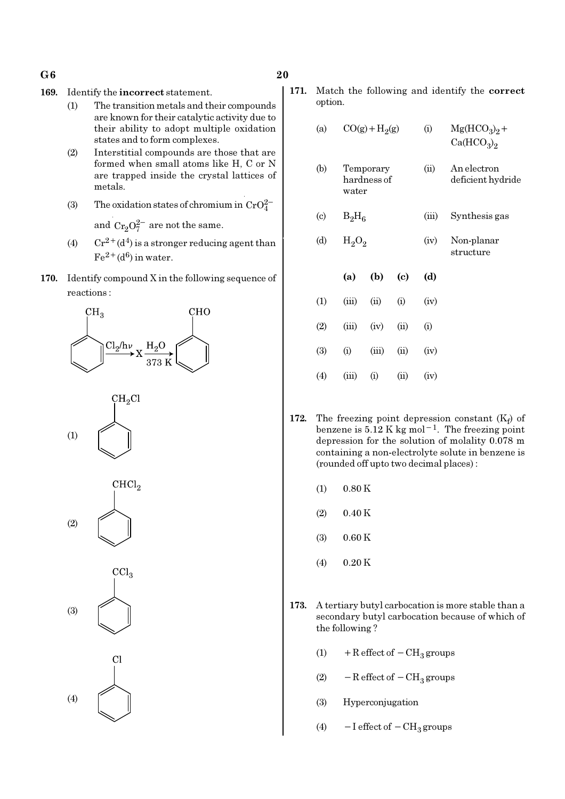- $G6$  20
- 169. Identify the incorrect statement.
	- (1) The transition metals and their compounds are known for their catalytic activity due to their ability to adopt multiple oxidation states and to form complexes.
	- (2) Interstitial compounds are those that are formed when small atoms like H, C or N are trapped inside the crystal lattices of metals.
	- (3) The oxidation states of chromium in  $CrO_4^{2-}$ and  $Cr_2O_7^{2-}$  are not the same.
	- (4)  $Cr^{2+}(d^4)$  is a stronger reducing agent than  $Fe<sup>2+</sup>(d<sup>6</sup>)$  in water.
- 170. Identify compound X in the following sequence of reactions :











171. Match the following and identify the correct option.

| (a)                        |          | $CO(g) + H2(g)$          |                            | (i)   | $Mg(HCO3)2 +$<br>Ca(HCO <sub>3</sub> ) <sub>2</sub> |
|----------------------------|----------|--------------------------|----------------------------|-------|-----------------------------------------------------|
| (b)                        | water    | Temporary<br>hardness of |                            | (ii)  | An electron<br>deficient hydride                    |
| $\left( \mathrm{c}\right)$ | $B_2H_6$ |                          |                            | (iii) | Synthesis gas                                       |
| (d)                        | $H_2O_2$ |                          |                            | (iv)  | Non-planar<br>structure                             |
|                            | (a)      | (b)                      | $\left( \mathrm{e}\right)$ | (d)   |                                                     |
| (1)                        | (iii)    | (ii)                     | (i)                        | (iv)  |                                                     |
| (2)                        | (iii)    | (iv)                     | (ii)                       | (i)   |                                                     |
| (3)                        | (i)      | (iii)                    | (ii)                       | (iv)  |                                                     |
| $\left( 4\right)$          | (iii)    | (i)                      | (ii)                       | (iv)  |                                                     |

- 172. The freezing point depression constant  $(K_f)$  of benzene is  $5.12$  K kg mol<sup>-1</sup>. The freezing point depression for the solution of molality 0.078 m containing a non-electrolyte solute in benzene is (rounded off upto two decimal places) :
	- $(1)$  0.80 K
	- $(2)$  0.40 K
	- (3) 0.60 K
	- $(4)$  0.20 K
- 173. A tertiary butyl carbocation is more stable than a secondary butyl carbocation because of which of the following ?
	- (1) + R effect of  $-CH<sub>3</sub>$  groups
	- (2)  $-$  R effect of  $-$  CH<sub>3</sub> groups
	- (3) Hyperconjugation
	- (4)  $-I$  effect of  $-CH_3$  groups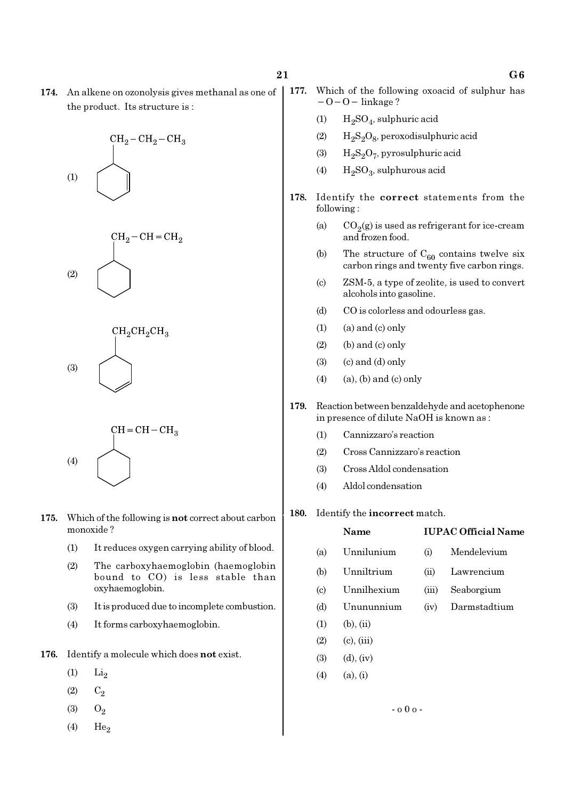174. An alkene on ozonolysis gives methanal as one of the product. Its structure is :









- 175. Which of the following is not correct about carbon monoxide ?
	- (1) It reduces oxygen carrying ability of blood.
	- (2) The carboxyhaemoglobin (haemoglobin bound to CO) is less stable than oxyhaemoglobin.
	- (3) It is produced due to incomplete combustion.
	- (4) It forms carboxyhaemoglobin.
- 176. Identify a molecule which does not exist.
	- $(1)$   $Li<sub>2</sub>$
	- $(2)$   $C_2$
	- $(3)$   $O_2$
	- $(4)$  He<sub>2</sub>
- 177. Which of the following oxoacid of sulphur has −O−O− linkage ?
	- (1)  $\rm{H_2SO_4}$ , sulphuric acid
	- (2)  $\rm{H_2S_2O_8}$ , peroxodisulphuric acid
	- (3)  $H_2S_2O_7$ , pyrosulphuric acid
	- (4)  $H_2SO_3$ , sulphurous acid
- 178. Identify the correct statements from the following :
	- (a)  $CO_2(g)$  is used as refrigerant for ice-cream and frozen food.
	- (b) The structure of  $C_{60}$  contains twelve six carbon rings and twenty five carbon rings.
	- (c) ZSM-5, a type of zeolite, is used to convert alcohols into gasoline.
	- (d) CO is colorless and odourless gas.
	- $(1)$  (a) and  $(c)$  only
	- $(2)$  (b) and  $(c)$  only
	- (3) (c) and (d) only
	- $(4)$  (a), (b) and (c) only
- 179. Reaction between benzaldehyde and acetophenone in presence of dilute NaOH is known as :
	- (1) Cannizzaro's reaction
	- (2) Cross Cannizzaro's reaction
	- (3) Cross Aldol condensation
	- (4) Aldol condensation
- 180. Identify the incorrect match.

|                             | Name            | <b>IUPAC Official Name</b> |              |  |  |  |  |
|-----------------------------|-----------------|----------------------------|--------------|--|--|--|--|
| (a)                         | Unnilunium      | (i)                        | Mendelevium  |  |  |  |  |
| (b)                         | Unniltrium      | (ii)                       | Lawrencium   |  |  |  |  |
| $\left( \mathrm{c} \right)$ | Unnilhexium     | (iii)                      | Seaborgium   |  |  |  |  |
| (d)                         | Unununnium      | (iv)                       | Darmstadtium |  |  |  |  |
| (1)                         | $(b)$ , $(ii)$  |                            |              |  |  |  |  |
| (2)                         | $(c)$ , $(iii)$ |                            |              |  |  |  |  |
| (3)                         | $(d)$ , $(iv)$  |                            |              |  |  |  |  |
| (4)                         | $(a)$ , $(i)$   |                            |              |  |  |  |  |
|                             |                 |                            |              |  |  |  |  |

- o 0 o -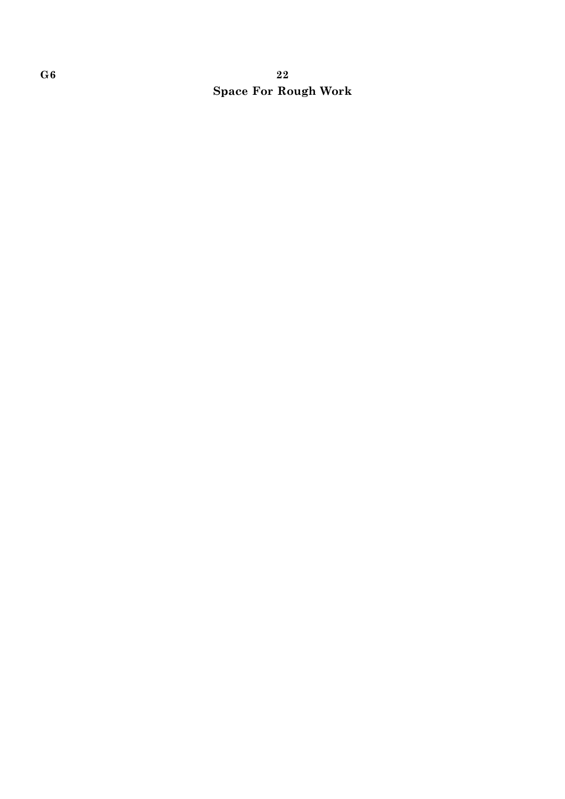# $G6$  and  $22$ Space For Rough Work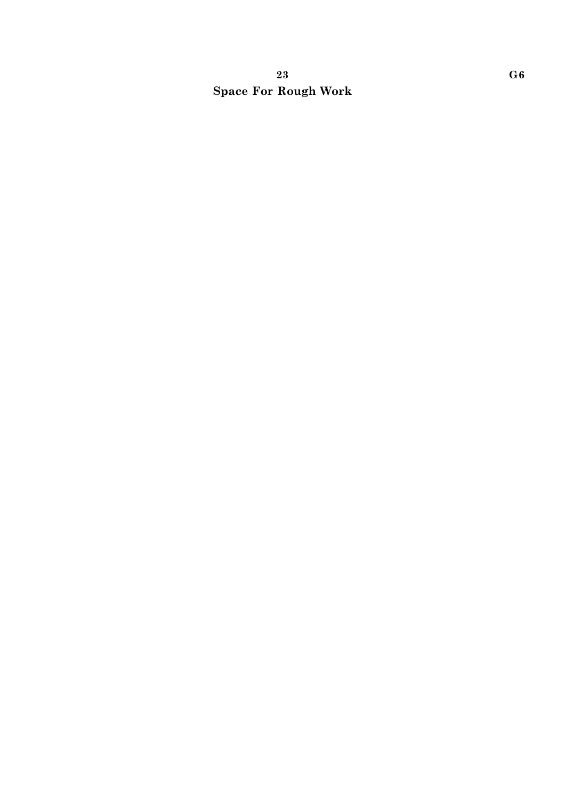# 23 G6 Space For Rough Work